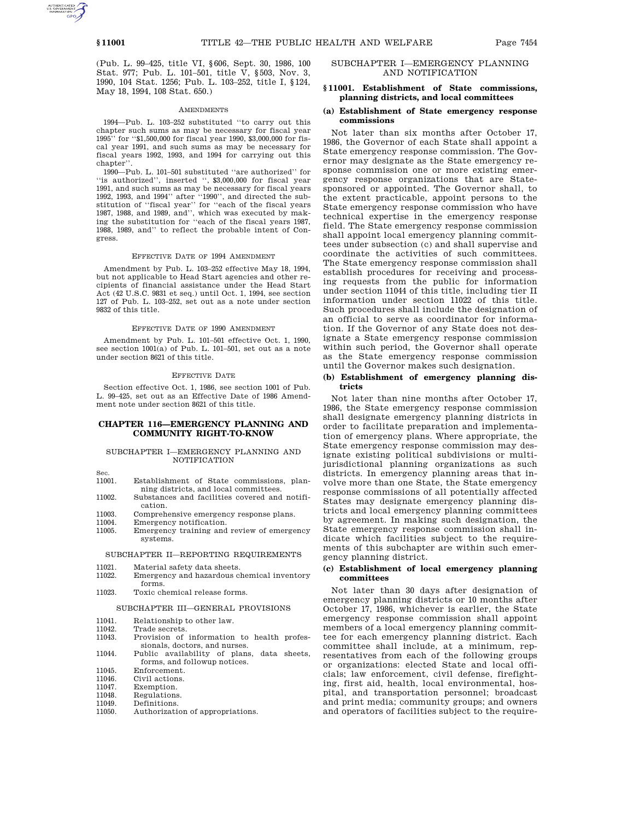(Pub. L. 99–425, title VI, §606, Sept. 30, 1986, 100 Stat. 977; Pub. L. 101–501, title V, §503, Nov. 3, 1990, 104 Stat. 1256; Pub. L. 103–252, title I, §124, May 18, 1994, 108 Stat. 650.)

#### AMENDMENTS

1994—Pub. L. 103–252 substituted ''to carry out this chapter such sums as may be necessary for fiscal year 1995'' for ''\$1,500,000 for fiscal year 1990, \$3,000,000 for fiscal year 1991, and such sums as may be necessary for fiscal years 1992, 1993, and 1994 for carrying out this chapter''.

1990—Pub. L. 101–501 substituted ''are authorized'' for ''is authorized'', inserted '', \$3,000,000 for fiscal year 1991, and such sums as may be necessary for fiscal years 1992, 1993, and 1994'' after ''1990'', and directed the sub-stitution of ''fiscal year'' for ''each of the fiscal years 1987, 1988, and 1989, and'', which was executed by making the substitution for ''each of the fiscal years 1987, 1988, 1989, and'' to reflect the probable intent of Congress.

#### EFFECTIVE DATE OF 1994 AMENDMENT

Amendment by Pub. L. 103–252 effective May 18, 1994, but not applicable to Head Start agencies and other recipients of financial assistance under the Head Start Act (42 U.S.C. 9831 et seq.) until Oct. 1, 1994, see section 127 of Pub. L. 103–252, set out as a note under section 9832 of this title.

#### EFFECTIVE DATE OF 1990 AMENDMENT

Amendment by Pub. L. 101–501 effective Oct. 1, 1990, see section 1001(a) of Pub. L. 101–501, set out as a note under section 8621 of this title.

#### EFFECTIVE DATE

Section effective Oct. 1, 1986, see section 1001 of Pub. L. 99–425, set out as an Effective Date of 1986 Amendment note under section 8621 of this title.

### **CHAPTER 116—EMERGENCY PLANNING AND COMMUNITY RIGHT-TO-KNOW**

#### SUBCHAPTER I—EMERGENCY PLANNING AND NOTIFICATION

Sec.

- 11001. Establishment of State commissions, planning districts, and local committees.
- 11002. Substances and facilities covered and notification.
- 11003. Comprehensive emergency response plans.<br>11004. Emergency notification.
- 11004. Emergency notification.<br>11005. Emergency training and
- Emergency training and review of emergency systems.

#### SUBCHAPTER II—REPORTING REQUIREMENTS

- 11021. Material safety data sheets.
- 11022. Emergency and hazardous chemical inventory forms.
- 11023. Toxic chemical release forms.

### SUBCHAPTER III—GENERAL PROVISIONS

- 11041. Relationship to other law.<br>11042. Trade secrets.
- 11042. Trade secrets.<br>11043. Provision of
- Provision of information to health professionals, doctors, and nurses.
- 11044. Public availability of plans, data sheets, forms, and followup notices.
- 11045. Enforcement.<br>11046. Civil actions.
- 11046. Civil actions.<br>11047. Exemption.
- Exemption.
- 11048. Regulations.
- 11049. Definitions.<br>11050. Authorizatie
- Authorization of appropriations.

### SUBCHAPTER I—EMERGENCY PLANNING AND NOTIFICATION

### **§ 11001. Establishment of State commissions, planning districts, and local committees**

### **(a) Establishment of State emergency response commissions**

Not later than six months after October 17, 1986, the Governor of each State shall appoint a State emergency response commission. The Governor may designate as the State emergency response commission one or more existing emergency response organizations that are Statesponsored or appointed. The Governor shall, to the extent practicable, appoint persons to the State emergency response commission who have technical expertise in the emergency response field. The State emergency response commission shall appoint local emergency planning committees under subsection (c) and shall supervise and coordinate the activities of such committees. The State emergency response commission shall establish procedures for receiving and processing requests from the public for information under section 11044 of this title, including tier II information under section 11022 of this title. Such procedures shall include the designation of an official to serve as coordinator for information. If the Governor of any State does not designate a State emergency response commission within such period, the Governor shall operate as the State emergency response commission until the Governor makes such designation.

### **(b) Establishment of emergency planning districts**

Not later than nine months after October 17, 1986, the State emergency response commission shall designate emergency planning districts in order to facilitate preparation and implementation of emergency plans. Where appropriate, the State emergency response commission may designate existing political subdivisions or multijurisdictional planning organizations as such districts. In emergency planning areas that involve more than one State, the State emergency response commissions of all potentially affected States may designate emergency planning districts and local emergency planning committees by agreement. In making such designation, the State emergency response commission shall indicate which facilities subject to the requirements of this subchapter are within such emergency planning district.

### **(c) Establishment of local emergency planning committees**

Not later than 30 days after designation of emergency planning districts or 10 months after October 17, 1986, whichever is earlier, the State emergency response commission shall appoint members of a local emergency planning committee for each emergency planning district. Each committee shall include, at a minimum, representatives from each of the following groups or organizations: elected State and local officials; law enforcement, civil defense, firefighting, first aid, health, local environmental, hospital, and transportation personnel; broadcast and print media; community groups; and owners and operators of facilities subject to the require-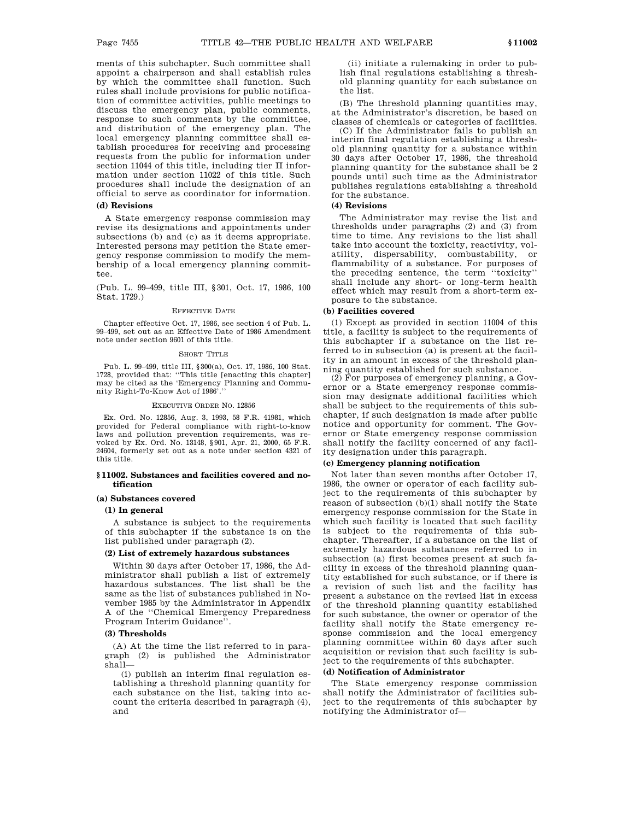ments of this subchapter. Such committee shall appoint a chairperson and shall establish rules by which the committee shall function. Such rules shall include provisions for public notification of committee activities, public meetings to discuss the emergency plan, public comments, response to such comments by the committee, and distribution of the emergency plan. The local emergency planning committee shall establish procedures for receiving and processing requests from the public for information under section 11044 of this title, including tier II information under section 11022 of this title. Such procedures shall include the designation of an official to serve as coordinator for information.

### **(d) Revisions**

A State emergency response commission may revise its designations and appointments under subsections (b) and (c) as it deems appropriate. Interested persons may petition the State emergency response commission to modify the membership of a local emergency planning committee.

(Pub. L. 99–499, title III, §301, Oct. 17, 1986, 100 Stat. 1729.)

#### EFFECTIVE DATE

Chapter effective Oct. 17, 1986, see section 4 of Pub. L. 99–499, set out as an Effective Date of 1986 Amendment note under section 9601 of this title.

#### SHORT TITLE

Pub. L. 99–499, title III, §300(a), Oct. 17, 1986, 100 Stat. 1728, provided that: ''This title [enacting this chapter] may be cited as the 'Emergency Planning and Community Right-To-Know Act of 1986'.

### EXECUTIVE ORDER NO. 12856

Ex. Ord. No. 12856, Aug. 3, 1993, 58 F.R. 41981, which provided for Federal compliance with right-to-know laws and pollution prevention requirements, was revoked by Ex. Ord. No. 13148, §901, Apr. 21, 2000, 65 F.R. 24604, formerly set out as a note under section 4321 of this title.

#### **§ 11002. Substances and facilities covered and notification**

#### **(a) Substances covered**

### **(1) In general**

A substance is subject to the requirements of this subchapter if the substance is on the list published under paragraph (2).

#### **(2) List of extremely hazardous substances**

Within 30 days after October 17, 1986, the Administrator shall publish a list of extremely hazardous substances. The list shall be the same as the list of substances published in November 1985 by the Administrator in Appendix A of the ''Chemical Emergency Preparedness Program Interim Guidance''.

### **(3) Thresholds**

(A) At the time the list referred to in paragraph (2) is published the Administrator shall—

(i) publish an interim final regulation establishing a threshold planning quantity for each substance on the list, taking into account the criteria described in paragraph (4), and

(ii) initiate a rulemaking in order to publish final regulations establishing a threshold planning quantity for each substance on the list.

(B) The threshold planning quantities may, at the Administrator's discretion, be based on classes of chemicals or categories of facilities.

(C) If the Administrator fails to publish an interim final regulation establishing a threshold planning quantity for a substance within 30 days after October 17, 1986, the threshold planning quantity for the substance shall be 2 pounds until such time as the Administrator publishes regulations establishing a threshold for the substance.

# **(4) Revisions**

The Administrator may revise the list and thresholds under paragraphs (2) and (3) from time to time. Any revisions to the list shall take into account the toxicity, reactivity, volatility, dispersability, combustability, or flammability of a substance. For purposes of the preceding sentence, the term ''toxicity'' shall include any short- or long-term health effect which may result from a short-term exposure to the substance.

### **(b) Facilities covered**

(1) Except as provided in section 11004 of this title, a facility is subject to the requirements of this subchapter if a substance on the list referred to in subsection (a) is present at the facility in an amount in excess of the threshold planning quantity established for such substance.

(2) For purposes of emergency planning, a Governor or a State emergency response commission may designate additional facilities which shall be subject to the requirements of this subchapter, if such designation is made after public notice and opportunity for comment. The Governor or State emergency response commission shall notify the facility concerned of any facility designation under this paragraph.

### **(c) Emergency planning notification**

Not later than seven months after October 17, 1986, the owner or operator of each facility subject to the requirements of this subchapter by reason of subsection (b)(1) shall notify the State emergency response commission for the State in which such facility is located that such facility is subject to the requirements of this subchapter. Thereafter, if a substance on the list of extremely hazardous substances referred to in subsection (a) first becomes present at such facility in excess of the threshold planning quantity established for such substance, or if there is a revision of such list and the facility has present a substance on the revised list in excess of the threshold planning quantity established for such substance, the owner or operator of the facility shall notify the State emergency response commission and the local emergency planning committee within 60 days after such acquisition or revision that such facility is subject to the requirements of this subchapter.

### **(d) Notification of Administrator**

The State emergency response commission shall notify the Administrator of facilities subject to the requirements of this subchapter by notifying the Administrator of—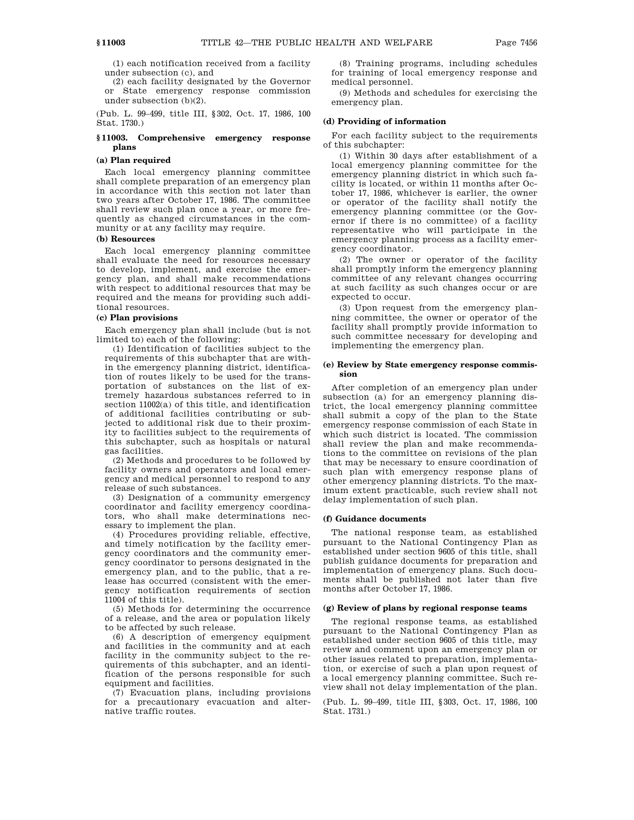(1) each notification received from a facility under subsection (c), and

(2) each facility designated by the Governor or State emergency response commission under subsection (b)(2).

(Pub. L. 99–499, title III, §302, Oct. 17, 1986, 100 Stat. 1730.)

### **§ 11003. Comprehensive emergency response plans**

### **(a) Plan required**

Each local emergency planning committee shall complete preparation of an emergency plan in accordance with this section not later than two years after October 17, 1986. The committee shall review such plan once a year, or more frequently as changed circumstances in the community or at any facility may require.

### **(b) Resources**

Each local emergency planning committee shall evaluate the need for resources necessary to develop, implement, and exercise the emergency plan, and shall make recommendations with respect to additional resources that may be required and the means for providing such additional resources.

# **(c) Plan provisions**

Each emergency plan shall include (but is not limited to) each of the following:

(1) Identification of facilities subject to the requirements of this subchapter that are within the emergency planning district, identification of routes likely to be used for the transportation of substances on the list of extremely hazardous substances referred to in section 11002(a) of this title, and identification of additional facilities contributing or subjected to additional risk due to their proximity to facilities subject to the requirements of this subchapter, such as hospitals or natural gas facilities.

(2) Methods and procedures to be followed by facility owners and operators and local emergency and medical personnel to respond to any release of such substances.

(3) Designation of a community emergency coordinator and facility emergency coordinators, who shall make determinations necessary to implement the plan.

(4) Procedures providing reliable, effective, and timely notification by the facility emergency coordinators and the community emergency coordinator to persons designated in the emergency plan, and to the public, that a release has occurred (consistent with the emergency notification requirements of section 11004 of this title).

(5) Methods for determining the occurrence of a release, and the area or population likely to be affected by such release.

(6) A description of emergency equipment and facilities in the community and at each facility in the community subject to the requirements of this subchapter, and an identification of the persons responsible for such equipment and facilities.

(7) Evacuation plans, including provisions for a precautionary evacuation and alternative traffic routes.

(8) Training programs, including schedules for training of local emergency response and medical personnel.

(9) Methods and schedules for exercising the emergency plan.

#### **(d) Providing of information**

For each facility subject to the requirements of this subchapter:

(1) Within 30 days after establishment of a local emergency planning committee for the emergency planning district in which such facility is located, or within 11 months after October 17, 1986, whichever is earlier, the owner or operator of the facility shall notify the emergency planning committee (or the Governor if there is no committee) of a facility representative who will participate in the emergency planning process as a facility emergency coordinator.

(2) The owner or operator of the facility shall promptly inform the emergency planning committee of any relevant changes occurring at such facility as such changes occur or are expected to occur.

(3) Upon request from the emergency planning committee, the owner or operator of the facility shall promptly provide information to such committee necessary for developing and implementing the emergency plan.

### **(e) Review by State emergency response commission**

After completion of an emergency plan under subsection (a) for an emergency planning district, the local emergency planning committee shall submit a copy of the plan to the State emergency response commission of each State in which such district is located. The commission shall review the plan and make recommendations to the committee on revisions of the plan that may be necessary to ensure coordination of such plan with emergency response plans of other emergency planning districts. To the maximum extent practicable, such review shall not delay implementation of such plan.

### **(f) Guidance documents**

The national response team, as established pursuant to the National Contingency Plan as established under section 9605 of this title, shall publish guidance documents for preparation and implementation of emergency plans. Such documents shall be published not later than five months after October 17, 1986.

### **(g) Review of plans by regional response teams**

The regional response teams, as established pursuant to the National Contingency Plan as established under section 9605 of this title, may review and comment upon an emergency plan or other issues related to preparation, implementation, or exercise of such a plan upon request of a local emergency planning committee. Such review shall not delay implementation of the plan.

(Pub. L. 99–499, title III, §303, Oct. 17, 1986, 100 Stat. 1731.)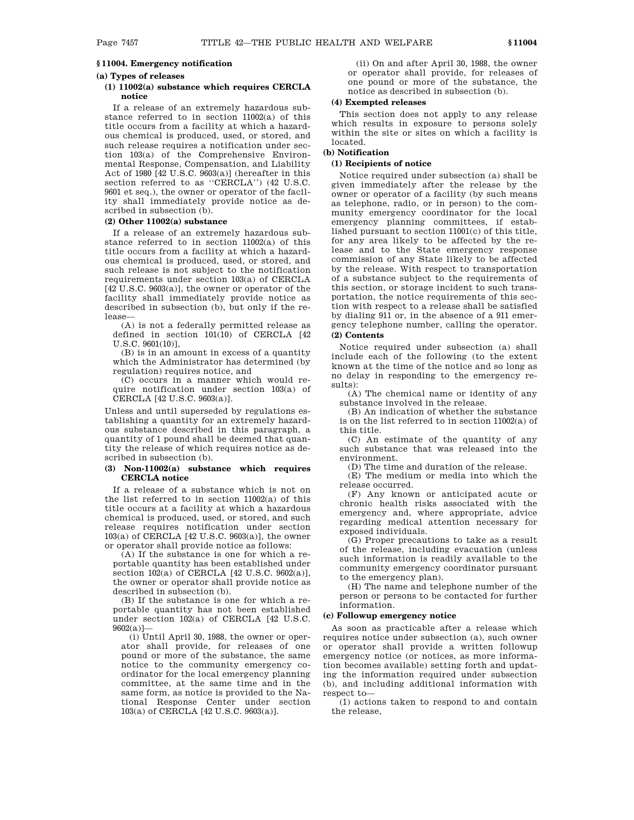### **§ 11004. Emergency notification**

#### **(a) Types of releases**

### **(1) 11002(a) substance which requires CERCLA notice**

If a release of an extremely hazardous substance referred to in section 11002(a) of this title occurs from a facility at which a hazardous chemical is produced, used, or stored, and such release requires a notification under section 103(a) of the Comprehensive Environmental Response, Compensation, and Liability Act of 1980 [42 U.S.C. 9603(a)] (hereafter in this section referred to as ''CERCLA'') (42 U.S.C. 9601 et seq.), the owner or operator of the facility shall immediately provide notice as described in subsection (b).

### **(2) Other 11002(a) substance**

If a release of an extremely hazardous substance referred to in section 11002(a) of this title occurs from a facility at which a hazardous chemical is produced, used, or stored, and such release is not subject to the notification requirements under section 103(a) of CERCLA [42 U.S.C. 9603(a)], the owner or operator of the facility shall immediately provide notice as described in subsection (b), but only if the release—

(A) is not a federally permitted release as defined in section 101(10) of CERCLA [42 U.S.C. 9601(10)],

(B) is in an amount in excess of a quantity which the Administrator has determined (by regulation) requires notice, and

(C) occurs in a manner which would require notification under section 103(a) of CERCLA [42 U.S.C. 9603(a)].

Unless and until superseded by regulations establishing a quantity for an extremely hazardous substance described in this paragraph, a quantity of 1 pound shall be deemed that quantity the release of which requires notice as described in subsection (b).

# **(3) Non-11002(a) substance which requires CERCLA notice**

If a release of a substance which is not on the list referred to in section 11002(a) of this title occurs at a facility at which a hazardous chemical is produced, used, or stored, and such release requires notification under section 103(a) of CERCLA [42 U.S.C. 9603(a)], the owner or operator shall provide notice as follows:

 $(A)$  If the substance is one for which a reportable quantity has been established under section 102(a) of CERCLA [42 U.S.C. 9602(a)], the owner or operator shall provide notice as described in subsection (b).

(B) If the substance is one for which a reportable quantity has not been established under section 102(a) of CERCLA [42 U.S.C.  $9602(a)$ ]

(i) Until April 30, 1988, the owner or operator shall provide, for releases of one pound or more of the substance, the same notice to the community emergency coordinator for the local emergency planning committee, at the same time and in the same form, as notice is provided to the National Response Center under section 103(a) of CERCLA [42 U.S.C. 9603(a)].

(ii) On and after April 30, 1988, the owner or operator shall provide, for releases of one pound or more of the substance, the notice as described in subsection (b).

### **(4) Exempted releases**

This section does not apply to any release which results in exposure to persons solely within the site or sites on which a facility is located.

# **(b) Notification**

# **(1) Recipients of notice**

Notice required under subsection (a) shall be given immediately after the release by the owner or operator of a facility (by such means as telephone, radio, or in person) to the community emergency coordinator for the local emergency planning committees, if established pursuant to section 11001(c) of this title, for any area likely to be affected by the release and to the State emergency response commission of any State likely to be affected by the release. With respect to transportation of a substance subject to the requirements of this section, or storage incident to such transportation, the notice requirements of this section with respect to a release shall be satisfied by dialing 911 or, in the absence of a 911 emergency telephone number, calling the operator. **(2) Contents**

Notice required under subsection (a) shall include each of the following (to the extent known at the time of the notice and so long as no delay in responding to the emergency results):

(A) The chemical name or identity of any substance involved in the release.

(B) An indication of whether the substance is on the list referred to in section 11002(a) of this title.

(C) An estimate of the quantity of any such substance that was released into the environment.

(D) The time and duration of the release.

(E) The medium or media into which the release occurred.

(F) Any known or anticipated acute or chronic health risks associated with the emergency and, where appropriate, advice regarding medical attention necessary for exposed individuals.

(G) Proper precautions to take as a result of the release, including evacuation (unless such information is readily available to the community emergency coordinator pursuant to the emergency plan).

(H) The name and telephone number of the person or persons to be contacted for further information.

### **(c) Followup emergency notice**

As soon as practicable after a release which requires notice under subsection (a), such owner or operator shall provide a written followup emergency notice (or notices, as more information becomes available) setting forth and updating the information required under subsection (b), and including additional information with respect to—

(1) actions taken to respond to and contain the release,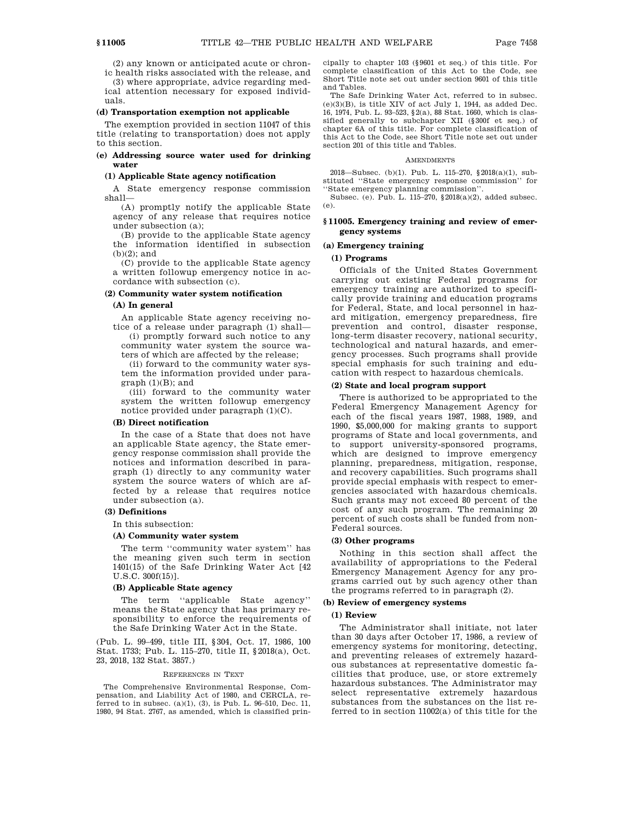(2) any known or anticipated acute or chronic health risks associated with the release, and (3) where appropriate, advice regarding medical attention necessary for exposed individuals.

### **(d) Transportation exemption not applicable**

The exemption provided in section 11047 of this title (relating to transportation) does not apply to this section.

### **(e) Addressing source water used for drinking water**

#### **(1) Applicable State agency notification**

A State emergency response commission shall—

(A) promptly notify the applicable State agency of any release that requires notice under subsection (a);

(B) provide to the applicable State agency the information identified in subsection (b)(2); and

(C) provide to the applicable State agency a written followup emergency notice in accordance with subsection (c).

### **(2) Community water system notification**

### **(A) In general**

An applicable State agency receiving notice of a release under paragraph (1) shall—

(i) promptly forward such notice to any community water system the source waters of which are affected by the release;

(ii) forward to the community water system the information provided under para $graph (1)(B); and$ 

(iii) forward to the community water system the written followup emergency notice provided under paragraph (1)(C).

### **(B) Direct notification**

In the case of a State that does not have an applicable State agency, the State emergency response commission shall provide the notices and information described in paragraph (1) directly to any community water system the source waters of which are affected by a release that requires notice under subsection (a).

# **(3) Definitions**

In this subsection:

### **(A) Community water system**

The term ''community water system'' has the meaning given such term in section 1401(15) of the Safe Drinking Water Act [42 U.S.C. 300f(15)].

### **(B) Applicable State agency**

The term ''applicable State agency'' means the State agency that has primary responsibility to enforce the requirements of the Safe Drinking Water Act in the State.

(Pub. L. 99–499, title III, §304, Oct. 17, 1986, 100 Stat. 1733; Pub. L. 115–270, title II, §2018(a), Oct. 23, 2018, 132 Stat. 3857.)

#### REFERENCES IN TEXT

The Comprehensive Environmental Response, Compensation, and Liability Act of 1980, and CERCLA, referred to in subsec.  $(a)(1)$ ,  $(3)$ , is Pub. L. 96–510, Dec. 11, 1980, 94 Stat. 2767, as amended, which is classified principally to chapter 103 (§9601 et seq.) of this title. For complete classification of this Act to the Code, see Short Title note set out under section 9601 of this title and Tables.

The Safe Drinking Water Act, referred to in subsec.  $(e)(3)(B)$ , is title XIV of act July 1, 1944, as added Dec. 16, 1974, Pub. L. 93–523, §2(a), 88 Stat. 1660, which is classified generally to subchapter XII (§300f et seq.) of chapter 6A of this title. For complete classification of this Act to the Code, see Short Title note set out under section 201 of this title and Tables.

#### AMENDMENTS

2018—Subsec. (b)(1). Pub. L. 115–270, §2018(a)(1), substituted ''State emergency response commission'' for ''State emergency planning commission''.

Subsec. (e). Pub. L. 115–270, §2018(a)(2), added subsec. (e).

### **§ 11005. Emergency training and review of emergency systems**

### **(a) Emergency training**

### **(1) Programs**

Officials of the United States Government carrying out existing Federal programs for emergency training are authorized to specifically provide training and education programs for Federal, State, and local personnel in hazard mitigation, emergency preparedness, fire prevention and control, disaster response, long-term disaster recovery, national security, technological and natural hazards, and emergency processes. Such programs shall provide special emphasis for such training and education with respect to hazardous chemicals.

### **(2) State and local program support**

There is authorized to be appropriated to the Federal Emergency Management Agency for each of the fiscal years 1987, 1988, 1989, and 1990, \$5,000,000 for making grants to support programs of State and local governments, and to support university-sponsored programs, which are designed to improve emergency planning, preparedness, mitigation, response, and recovery capabilities. Such programs shall provide special emphasis with respect to emergencies associated with hazardous chemicals. Such grants may not exceed 80 percent of the cost of any such program. The remaining 20 percent of such costs shall be funded from non-Federal sources.

#### **(3) Other programs**

Nothing in this section shall affect the availability of appropriations to the Federal Emergency Management Agency for any programs carried out by such agency other than the programs referred to in paragraph (2).

### **(b) Review of emergency systems**

# **(1) Review**

The Administrator shall initiate, not later than 30 days after October 17, 1986, a review of emergency systems for monitoring, detecting, and preventing releases of extremely hazardous substances at representative domestic facilities that produce, use, or store extremely hazardous substances. The Administrator may select representative extremely hazardous substances from the substances on the list referred to in section 11002(a) of this title for the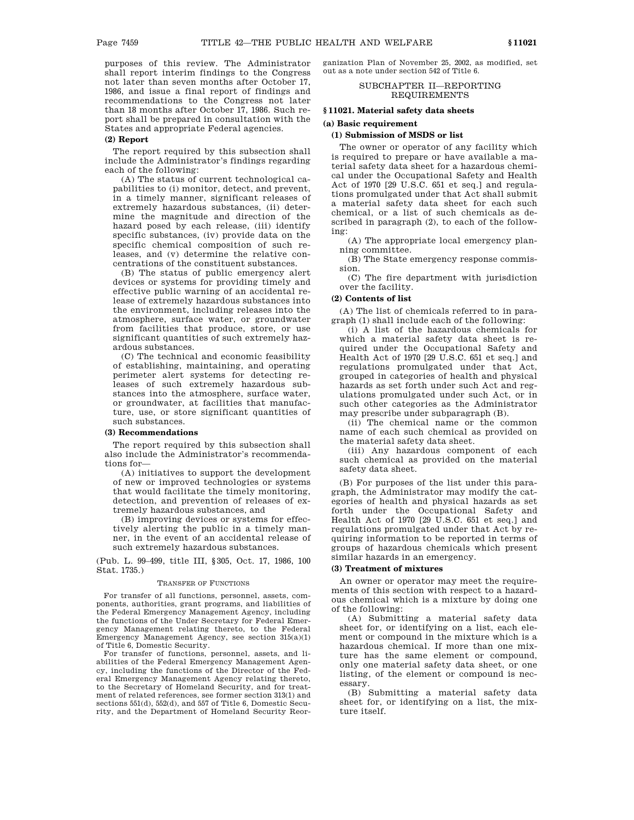purposes of this review. The Administrator shall report interim findings to the Congress not later than seven months after October 17, 1986, and issue a final report of findings and recommendations to the Congress not later than 18 months after October 17, 1986. Such report shall be prepared in consultation with the States and appropriate Federal agencies.

### **(2) Report**

The report required by this subsection shall include the Administrator's findings regarding each of the following:

(A) The status of current technological capabilities to (i) monitor, detect, and prevent, in a timely manner, significant releases of extremely hazardous substances, (ii) determine the magnitude and direction of the hazard posed by each release, (iii) identify specific substances, (iv) provide data on the specific chemical composition of such releases, and (v) determine the relative concentrations of the constituent substances.

(B) The status of public emergency alert devices or systems for providing timely and effective public warning of an accidental release of extremely hazardous substances into the environment, including releases into the atmosphere, surface water, or groundwater from facilities that produce, store, or use significant quantities of such extremely hazardous substances.

(C) The technical and economic feasibility of establishing, maintaining, and operating perimeter alert systems for detecting releases of such extremely hazardous substances into the atmosphere, surface water, or groundwater, at facilities that manufacture, use, or store significant quantities of such substances.

#### **(3) Recommendations**

The report required by this subsection shall also include the Administrator's recommendations for—

(A) initiatives to support the development of new or improved technologies or systems that would facilitate the timely monitoring, detection, and prevention of releases of extremely hazardous substances, and

(B) improving devices or systems for effectively alerting the public in a timely manner, in the event of an accidental release of such extremely hazardous substances.

(Pub. L. 99–499, title III, §305, Oct. 17, 1986, 100 Stat. 1735.)

#### TRANSFER OF FUNCTIONS

For transfer of all functions, personnel, assets, components, authorities, grant programs, and liabilities of the Federal Emergency Management Agency, including the functions of the Under Secretary for Federal Emergency Management relating thereto, to the Federal Emergency Management Agency, see section 315(a)(1) of Title 6, Domestic Security.

For transfer of functions, personnel, assets, and liabilities of the Federal Emergency Management Agency, including the functions of the Director of the Federal Emergency Management Agency relating thereto, to the Secretary of Homeland Security, and for treatment of related references, see former section 313(1) and sections 551(d), 552(d), and 557 of Title 6, Domestic Security, and the Department of Homeland Security Reorganization Plan of November 25, 2002, as modified, set out as a note under section 542 of Title 6.

### SUBCHAPTER II—REPORTING REQUIREMENTS

#### **§ 11021. Material safety data sheets**

### **(a) Basic requirement**

#### **(1) Submission of MSDS or list**

The owner or operator of any facility which is required to prepare or have available a material safety data sheet for a hazardous chemical under the Occupational Safety and Health Act of 1970 [29 U.S.C. 651 et seq.] and regulations promulgated under that Act shall submit a material safety data sheet for each such chemical, or a list of such chemicals as described in paragraph (2), to each of the following:

(A) The appropriate local emergency planning committee.

(B) The State emergency response commission.

(C) The fire department with jurisdiction over the facility.

### **(2) Contents of list**

(A) The list of chemicals referred to in paragraph (1) shall include each of the following:

(i) A list of the hazardous chemicals for which a material safety data sheet is required under the Occupational Safety and Health Act of 1970 [29 U.S.C. 651 et seq.] and regulations promulgated under that Act, grouped in categories of health and physical hazards as set forth under such Act and regulations promulgated under such Act, or in such other categories as the Administrator may prescribe under subparagraph (B).

(ii) The chemical name or the common name of each such chemical as provided on the material safety data sheet.

(iii) Any hazardous component of each such chemical as provided on the material safety data sheet.

(B) For purposes of the list under this paragraph, the Administrator may modify the categories of health and physical hazards as set forth under the Occupational Safety and Health Act of 1970 [29  $\overline{U}$ .S.C. 651 et seq.] and regulations promulgated under that Act by requiring information to be reported in terms of groups of hazardous chemicals which present similar hazards in an emergency.

### **(3) Treatment of mixtures**

An owner or operator may meet the requirements of this section with respect to a hazardous chemical which is a mixture by doing one of the following:

(A) Submitting a material safety data sheet for, or identifying on a list, each element or compound in the mixture which is a hazardous chemical. If more than one mixture has the same element or compound, only one material safety data sheet, or one listing, of the element or compound is necessary.

(B) Submitting a material safety data sheet for, or identifying on a list, the mixture itself.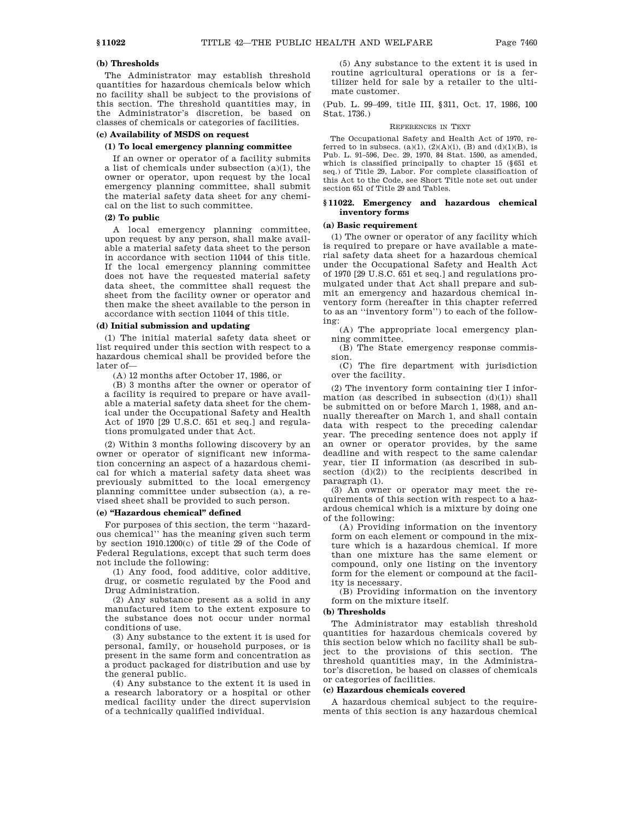### **(b) Thresholds**

The Administrator may establish threshold quantities for hazardous chemicals below which no facility shall be subject to the provisions of this section. The threshold quantities may, in the Administrator's discretion, be based on classes of chemicals or categories of facilities.

### **(c) Availability of MSDS on request**

### **(1) To local emergency planning committee**

If an owner or operator of a facility submits a list of chemicals under subsection (a)(1), the owner or operator, upon request by the local emergency planning committee, shall submit the material safety data sheet for any chemical on the list to such committee.

#### **(2) To public**

A local emergency planning committee, upon request by any person, shall make available a material safety data sheet to the person in accordance with section 11044 of this title. If the local emergency planning committee does not have the requested material safety data sheet, the committee shall request the sheet from the facility owner or operator and then make the sheet available to the person in accordance with section 11044 of this title.

### **(d) Initial submission and updating**

(1) The initial material safety data sheet or list required under this section with respect to a hazardous chemical shall be provided before the later of—

(A) 12 months after October 17, 1986, or

(B) 3 months after the owner or operator of a facility is required to prepare or have available a material safety data sheet for the chemical under the Occupational Safety and Health Act of 1970 [29 U.S.C. 651 et seq.] and regulations promulgated under that Act.

(2) Within 3 months following discovery by an owner or operator of significant new information concerning an aspect of a hazardous chemical for which a material safety data sheet was previously submitted to the local emergency planning committee under subsection (a), a revised sheet shall be provided to such person.

# **(e) ''Hazardous chemical'' defined**

For purposes of this section, the term ''hazardous chemical'' has the meaning given such term by section 1910.1200(c) of title 29 of the Code of Federal Regulations, except that such term does not include the following:

(1) Any food, food additive, color additive, drug, or cosmetic regulated by the Food and Drug Administration.

(2) Any substance present as a solid in any manufactured item to the extent exposure to the substance does not occur under normal conditions of use.

(3) Any substance to the extent it is used for personal, family, or household purposes, or is present in the same form and concentration as a product packaged for distribution and use by the general public.

(4) Any substance to the extent it is used in a research laboratory or a hospital or other medical facility under the direct supervision of a technically qualified individual.

(5) Any substance to the extent it is used in routine agricultural operations or is a fertilizer held for sale by a retailer to the ultimate customer.

(Pub. L. 99–499, title III, §311, Oct. 17, 1986, 100 Stat. 1736.)

#### REFERENCES IN TEXT

The Occupational Safety and Health Act of 1970, referred to in subsecs.  $(a)(1)$ ,  $(2)(A)(i)$ ,  $(B)$  and  $(d)(1)(B)$ , is Pub. L. 91–596, Dec. 29, 1970, 84 Stat. 1590, as amended, which is classified principally to chapter 15 (§651 et seq.) of Title 29, Labor. For complete classification of this Act to the Code, see Short Title note set out under section 651 of Title 29 and Tables.

### **§ 11022. Emergency and hazardous chemical inventory forms**

#### **(a) Basic requirement**

(1) The owner or operator of any facility which is required to prepare or have available a material safety data sheet for a hazardous chemical under the Occupational Safety and Health Act of 1970 [29 U.S.C. 651 et seq.] and regulations promulgated under that Act shall prepare and submit an emergency and hazardous chemical inventory form (hereafter in this chapter referred to as an ''inventory form'') to each of the following:

(A) The appropriate local emergency planning committee.

(B) The State emergency response commission.

(C) The fire department with jurisdiction over the facility.

(2) The inventory form containing tier I information (as described in subsection  $(d)(1)$ ) shall be submitted on or before March 1, 1988, and annually thereafter on March 1, and shall contain data with respect to the preceding calendar year. The preceding sentence does not apply if an owner or operator provides, by the same deadline and with respect to the same calendar year, tier II information (as described in subsection (d)(2)) to the recipients described in paragraph (1).

(3) An owner or operator may meet the requirements of this section with respect to a hazardous chemical which is a mixture by doing one of the following:

(A) Providing information on the inventory form on each element or compound in the mixture which is a hazardous chemical. If more than one mixture has the same element or compound, only one listing on the inventory form for the element or compound at the facility is necessary.

(B) Providing information on the inventory form on the mixture itself.

#### **(b) Thresholds**

The Administrator may establish threshold quantities for hazardous chemicals covered by this section below which no facility shall be subject to the provisions of this section. The threshold quantities may, in the Administrator's discretion, be based on classes of chemicals or categories of facilities.

#### **(c) Hazardous chemicals covered**

A hazardous chemical subject to the requirements of this section is any hazardous chemical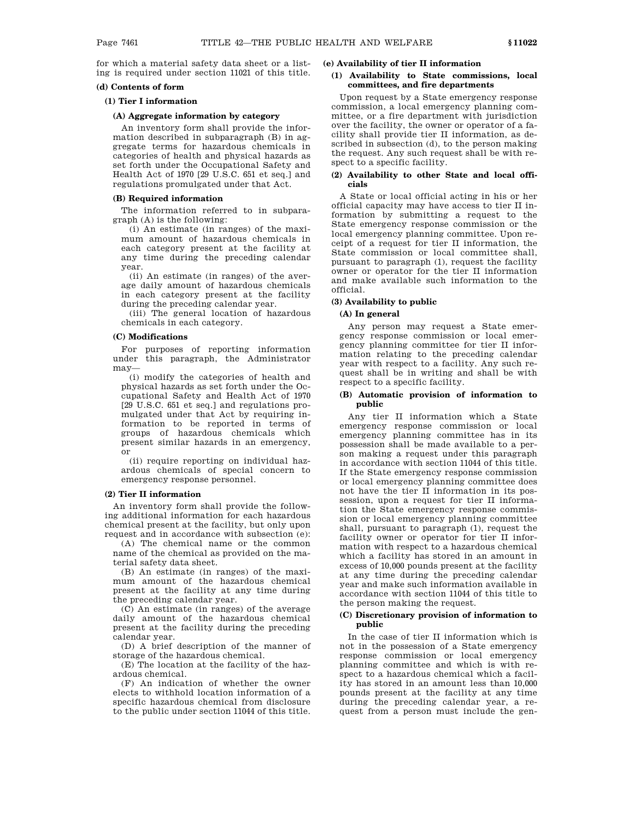for which a material safety data sheet or a listing is required under section 11021 of this title.

### **(d) Contents of form**

### **(1) Tier I information**

# **(A) Aggregate information by category**

An inventory form shall provide the information described in subparagraph (B) in aggregate terms for hazardous chemicals in categories of health and physical hazards as set forth under the Occupational Safety and Health Act of 1970 [29 U.S.C. 651 et seq.] and regulations promulgated under that Act.

### **(B) Required information**

The information referred to in subparagraph (A) is the following:

(i) An estimate (in ranges) of the maximum amount of hazardous chemicals in each category present at the facility at any time during the preceding calendar year.

(ii) An estimate (in ranges) of the average daily amount of hazardous chemicals in each category present at the facility during the preceding calendar year.

(iii) The general location of hazardous chemicals in each category.

### **(C) Modifications**

For purposes of reporting information under this paragraph, the Administrator may—

(i) modify the categories of health and physical hazards as set forth under the Occupational Safety and Health Act of 1970 [29 U.S.C. 651 et seq.] and regulations promulgated under that Act by requiring information to be reported in terms of groups of hazardous chemicals which present similar hazards in an emergency, or

(ii) require reporting on individual hazardous chemicals of special concern to emergency response personnel.

### **(2) Tier II information**

An inventory form shall provide the following additional information for each hazardous chemical present at the facility, but only upon request and in accordance with subsection (e):

(A) The chemical name or the common name of the chemical as provided on the material safety data sheet.

(B) An estimate (in ranges) of the maximum amount of the hazardous chemical present at the facility at any time during the preceding calendar year.

(C) An estimate (in ranges) of the average daily amount of the hazardous chemical present at the facility during the preceding calendar year.

(D) A brief description of the manner of storage of the hazardous chemical.

(E) The location at the facility of the hazardous chemical.

(F) An indication of whether the owner elects to withhold location information of a specific hazardous chemical from disclosure to the public under section 11044 of this title.

### **(e) Availability of tier II information**

### **(1) Availability to State commissions, local committees, and fire departments**

Upon request by a State emergency response commission, a local emergency planning committee, or a fire department with jurisdiction over the facility, the owner or operator of a facility shall provide tier II information, as described in subsection (d), to the person making the request. Any such request shall be with respect to a specific facility.

### **(2) Availability to other State and local officials**

A State or local official acting in his or her official capacity may have access to tier II information by submitting a request to the State emergency response commission or the local emergency planning committee. Upon receipt of a request for tier II information, the State commission or local committee shall, pursuant to paragraph (1), request the facility owner or operator for the tier II information and make available such information to the official.

### **(3) Availability to public**

### **(A) In general**

Any person may request a State emergency response commission or local emergency planning committee for tier II information relating to the preceding calendar year with respect to a facility. Any such request shall be in writing and shall be with respect to a specific facility.

### **(B) Automatic provision of information to public**

Any tier II information which a State emergency response commission or local emergency planning committee has in its possession shall be made available to a person making a request under this paragraph in accordance with section 11044 of this title. If the State emergency response commission or local emergency planning committee does not have the tier II information in its possession, upon a request for tier II information the State emergency response commission or local emergency planning committee shall, pursuant to paragraph (1), request the facility owner or operator for tier II information with respect to a hazardous chemical which a facility has stored in an amount in excess of 10,000 pounds present at the facility at any time during the preceding calendar year and make such information available in accordance with section 11044 of this title to the person making the request.

### **(C) Discretionary provision of information to public**

In the case of tier II information which is not in the possession of a State emergency response commission or local emergency planning committee and which is with respect to a hazardous chemical which a facility has stored in an amount less than 10,000 pounds present at the facility at any time during the preceding calendar year, a request from a person must include the gen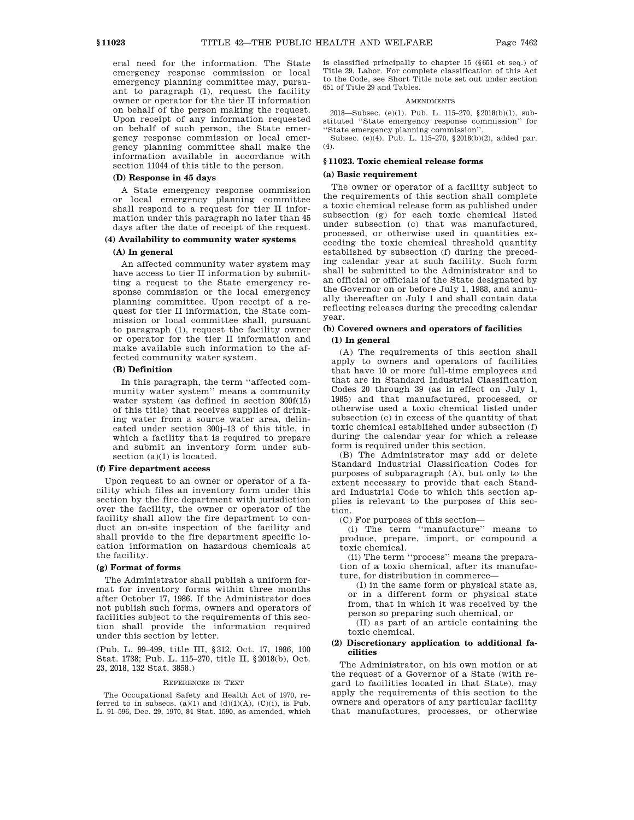eral need for the information. The State emergency response commission or local emergency planning committee may, pursuant to paragraph (1), request the facility owner or operator for the tier II information on behalf of the person making the request. Upon receipt of any information requested on behalf of such person, the State emergency response commission or local emergency planning committee shall make the information available in accordance with section 11044 of this title to the person.

### **(D) Response in 45 days**

A State emergency response commission or local emergency planning committee shall respond to a request for tier II information under this paragraph no later than 45 days after the date of receipt of the request.

### **(4) Availability to community water systems**

### **(A) In general**

An affected community water system may have access to tier II information by submitting a request to the State emergency response commission or the local emergency planning committee. Upon receipt of a request for tier II information, the State commission or local committee shall, pursuant to paragraph (1), request the facility owner or operator for the tier II information and make available such information to the affected community water system.

### **(B) Definition**

In this paragraph, the term ''affected community water system'' means a community water system (as defined in section 300f(15) of this title) that receives supplies of drinking water from a source water area, delineated under section 300j–13 of this title, in which a facility that is required to prepare and submit an inventory form under subsection (a)(1) is located.

### **(f) Fire department access**

Upon request to an owner or operator of a facility which files an inventory form under this section by the fire department with jurisdiction over the facility, the owner or operator of the facility shall allow the fire department to conduct an on-site inspection of the facility and shall provide to the fire department specific location information on hazardous chemicals at the facility.

### **(g) Format of forms**

The Administrator shall publish a uniform format for inventory forms within three months after October 17, 1986. If the Administrator does not publish such forms, owners and operators of facilities subject to the requirements of this section shall provide the information required under this section by letter.

(Pub. L. 99–499, title III, §312, Oct. 17, 1986, 100 Stat. 1738; Pub. L. 115–270, title II, §2018(b), Oct. 23, 2018, 132 Stat. 3858.)

#### REFERENCES IN TEXT

The Occupational Safety and Health Act of 1970, referred to in subsecs.  $(a)(1)$  and  $(d)(1)(A)$ ,  $(C)(i)$ , is Pub. L. 91–596, Dec. 29, 1970, 84 Stat. 1590, as amended, which is classified principally to chapter 15 (§651 et seq.) of Title 29, Labor. For complete classification of this Act to the Code, see Short Title note set out under section 651 of Title 29 and Tables.

#### **AMENDMENTS**

2018—Subsec. (e)(1). Pub. L. 115–270, §2018(b)(1), substituted ''State emergency response commission'' for ''State emergency planning commission''.

Subsec. (e)(4). Pub. L. 115–270, §2018(b)(2), added par. (4).

### **§ 11023. Toxic chemical release forms**

### **(a) Basic requirement**

The owner or operator of a facility subject to the requirements of this section shall complete a toxic chemical release form as published under subsection (g) for each toxic chemical listed under subsection (c) that was manufactured, processed, or otherwise used in quantities exceeding the toxic chemical threshold quantity established by subsection (f) during the preceding calendar year at such facility. Such form shall be submitted to the Administrator and to an official or officials of the State designated by the Governor on or before July 1, 1988, and annually thereafter on July 1 and shall contain data reflecting releases during the preceding calendar year.

### **(b) Covered owners and operators of facilities (1) In general**

(A) The requirements of this section shall apply to owners and operators of facilities that have 10 or more full-time employees and that are in Standard Industrial Classification Codes 20 through 39 (as in effect on July 1, 1985) and that manufactured, processed, or otherwise used a toxic chemical listed under subsection (c) in excess of the quantity of that toxic chemical established under subsection (f) during the calendar year for which a release form is required under this section.

(B) The Administrator may add or delete Standard Industrial Classification Codes for purposes of subparagraph (A), but only to the extent necessary to provide that each Standard Industrial Code to which this section applies is relevant to the purposes of this section.

(C) For purposes of this section—

(i) The term ''manufacture'' means to produce, prepare, import, or compound a toxic chemical.

(ii) The term ''process'' means the preparation of a toxic chemical, after its manufacture, for distribution in commerce—

(I) in the same form or physical state as, or in a different form or physical state from, that in which it was received by the person so preparing such chemical, or

(II) as part of an article containing the toxic chemical.

### **(2) Discretionary application to additional facilities**

The Administrator, on his own motion or at the request of a Governor of a State (with regard to facilities located in that State), may apply the requirements of this section to the owners and operators of any particular facility that manufactures, processes, or otherwise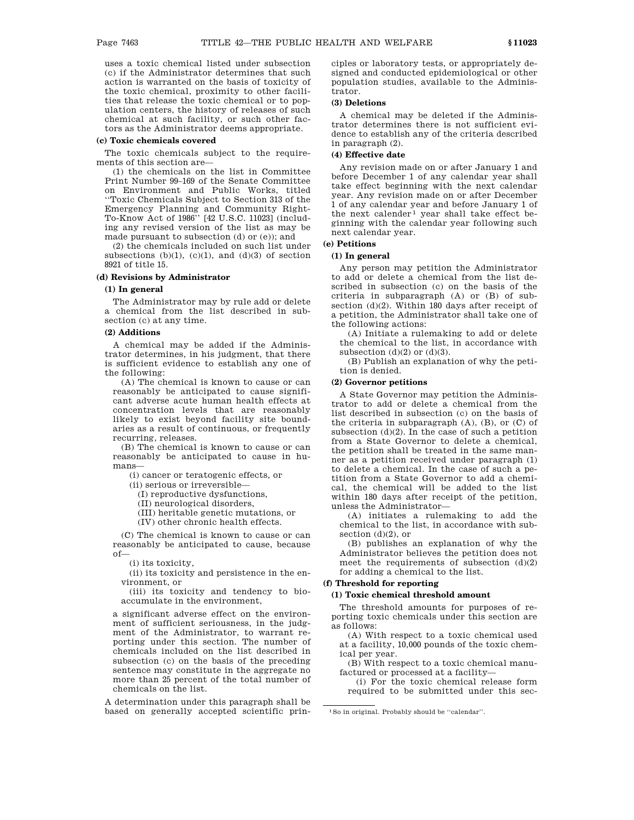uses a toxic chemical listed under subsection (c) if the Administrator determines that such action is warranted on the basis of toxicity of the toxic chemical, proximity to other facilities that release the toxic chemical or to population centers, the history of releases of such chemical at such facility, or such other factors as the Administrator deems appropriate.

#### **(c) Toxic chemicals covered**

The toxic chemicals subject to the requirements of this section are—

(1) the chemicals on the list in Committee Print Number 99–169 of the Senate Committee on Environment and Public Works, titled ''Toxic Chemicals Subject to Section 313 of the Emergency Planning and Community Right-To-Know Act of 1986'' [42 U.S.C. 11023] (including any revised version of the list as may be made pursuant to subsection (d) or (e)); and

(2) the chemicals included on such list under subsections  $(b)(1)$ ,  $(c)(1)$ , and  $(d)(3)$  of section 8921 of title 15.

### **(d) Revisions by Administrator**

### **(1) In general**

The Administrator may by rule add or delete a chemical from the list described in subsection (c) at any time.

#### **(2) Additions**

A chemical may be added if the Administrator determines, in his judgment, that there is sufficient evidence to establish any one of the following:

(A) The chemical is known to cause or can reasonably be anticipated to cause significant adverse acute human health effects at concentration levels that are reasonably likely to exist beyond facility site boundaries as a result of continuous, or frequently recurring, releases.

(B) The chemical is known to cause or can reasonably be anticipated to cause in humans—

(i) cancer or teratogenic effects, or

(ii) serious or irreversible—

(I) reproductive dysfunctions,

(II) neurological disorders,

(III) heritable genetic mutations, or

(IV) other chronic health effects.

(C) The chemical is known to cause or can reasonably be anticipated to cause, because of—

(i) its toxicity,

(ii) its toxicity and persistence in the environment, or

(iii) its toxicity and tendency to bioaccumulate in the environment,

a significant adverse effect on the environment of sufficient seriousness, in the judgment of the Administrator, to warrant reporting under this section. The number of chemicals included on the list described in subsection (c) on the basis of the preceding sentence may constitute in the aggregate no more than 25 percent of the total number of chemicals on the list.

A determination under this paragraph shall be based on generally accepted scientific principles or laboratory tests, or appropriately designed and conducted epidemiological or other population studies, available to the Administrator.

#### **(3) Deletions**

A chemical may be deleted if the Administrator determines there is not sufficient evidence to establish any of the criteria described in paragraph (2).

### **(4) Effective date**

Any revision made on or after January 1 and before December 1 of any calendar year shall take effect beginning with the next calendar year. Any revision made on or after December 1 of any calendar year and before January 1 of the next calender<sup>1</sup> year shall take effect beginning with the calendar year following such next calendar year.

# **(e) Petitions**

### **(1) In general**

Any person may petition the Administrator to add or delete a chemical from the list described in subsection (c) on the basis of the criteria in subparagraph (A) or (B) of subsection (d)(2). Within 180 days after receipt of a petition, the Administrator shall take one of the following actions:

(A) Initiate a rulemaking to add or delete the chemical to the list, in accordance with subsection  $(d)(2)$  or  $(d)(3)$ .

(B) Publish an explanation of why the petition is denied.

#### **(2) Governor petitions**

A State Governor may petition the Administrator to add or delete a chemical from the list described in subsection (c) on the basis of the criteria in subparagraph (A), (B), or (C) of subsection  $(d)(2)$ . In the case of such a petition from a State Governor to delete a chemical, the petition shall be treated in the same manner as a petition received under paragraph (1) to delete a chemical. In the case of such a petition from a State Governor to add a chemical, the chemical will be added to the list within 180 days after receipt of the petition, unless the Administrator—

(A) initiates a rulemaking to add the chemical to the list, in accordance with subsection (d)(2), or

(B) publishes an explanation of why the Administrator believes the petition does not meet the requirements of subsection  $(d)(2)$ for adding a chemical to the list.

# **(f) Threshold for reporting**

### **(1) Toxic chemical threshold amount**

The threshold amounts for purposes of reporting toxic chemicals under this section are as follows:

(A) With respect to a toxic chemical used at a facility, 10,000 pounds of the toxic chemical per year.

(B) With respect to a toxic chemical manufactured or processed at a facility—

(i) For the toxic chemical release form required to be submitted under this sec-

<sup>1</sup>So in original. Probably should be ''calendar''.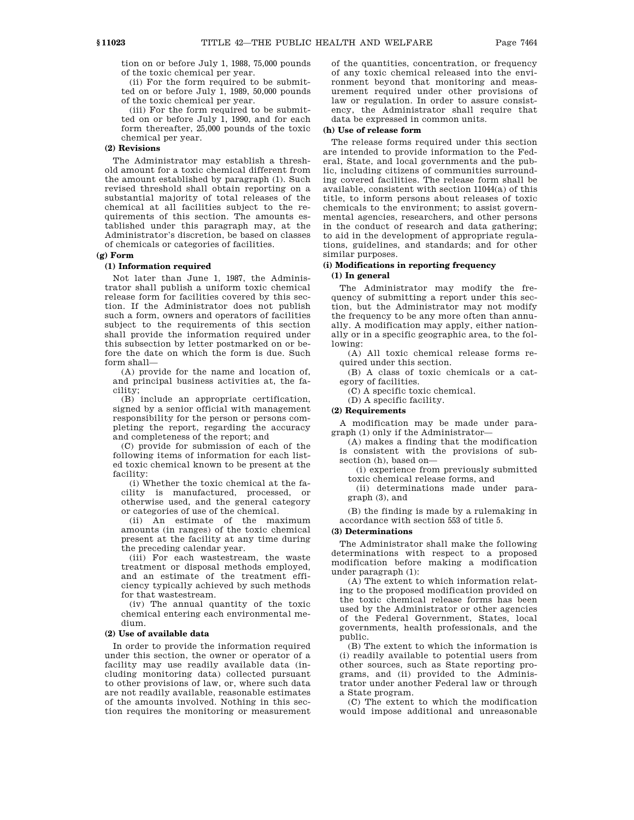tion on or before July 1, 1988, 75,000 pounds of the toxic chemical per year.

(ii) For the form required to be submitted on or before July 1, 1989, 50,000 pounds of the toxic chemical per year.

(iii) For the form required to be submitted on or before July 1, 1990, and for each form thereafter, 25,000 pounds of the toxic chemical per year.

# **(2) Revisions**

The Administrator may establish a threshold amount for a toxic chemical different from the amount established by paragraph (1). Such revised threshold shall obtain reporting on a substantial majority of total releases of the chemical at all facilities subject to the requirements of this section. The amounts established under this paragraph may, at the Administrator's discretion, be based on classes of chemicals or categories of facilities.

### **(g) Form**

### **(1) Information required**

Not later than June 1, 1987, the Administrator shall publish a uniform toxic chemical release form for facilities covered by this section. If the Administrator does not publish such a form, owners and operators of facilities subject to the requirements of this section shall provide the information required under this subsection by letter postmarked on or before the date on which the form is due. Such form shall—

(A) provide for the name and location of, and principal business activities at, the facility;

(B) include an appropriate certification, signed by a senior official with management responsibility for the person or persons completing the report, regarding the accuracy and completeness of the report; and

(C) provide for submission of each of the following items of information for each listed toxic chemical known to be present at the facility:

(i) Whether the toxic chemical at the facility is manufactured, processed, or otherwise used, and the general category or categories of use of the chemical.

(ii) An estimate of the maximum amounts (in ranges) of the toxic chemical present at the facility at any time during the preceding calendar year.

(iii) For each wastestream, the waste treatment or disposal methods employed, and an estimate of the treatment efficiency typically achieved by such methods for that wastestream.

(iv) The annual quantity of the toxic chemical entering each environmental medium.

#### **(2) Use of available data**

In order to provide the information required under this section, the owner or operator of a facility may use readily available data (including monitoring data) collected pursuant to other provisions of law, or, where such data are not readily available, reasonable estimates of the amounts involved. Nothing in this section requires the monitoring or measurement of the quantities, concentration, or frequency of any toxic chemical released into the environment beyond that monitoring and measurement required under other provisions of law or regulation. In order to assure consistency, the Administrator shall require that data be expressed in common units.

### **(h) Use of release form**

The release forms required under this section are intended to provide information to the Federal, State, and local governments and the public, including citizens of communities surrounding covered facilities. The release form shall be available, consistent with section 11044(a) of this title, to inform persons about releases of toxic chemicals to the environment; to assist governmental agencies, researchers, and other persons in the conduct of research and data gathering; to aid in the development of appropriate regulations, guidelines, and standards; and for other similar purposes.

### **(i) Modifications in reporting frequency**

### **(1) In general**

The Administrator may modify the frequency of submitting a report under this section, but the Administrator may not modify the frequency to be any more often than annually. A modification may apply, either nationally or in a specific geographic area, to the following:

(A) All toxic chemical release forms required under this section.

(B) A class of toxic chemicals or a category of facilities.

(C) A specific toxic chemical.

(D) A specific facility.

# **(2) Requirements**

A modification may be made under paragraph (1) only if the Administrator—

(A) makes a finding that the modification is consistent with the provisions of subsection (h), based on—

(i) experience from previously submitted toxic chemical release forms, and

(ii) determinations made under paragraph (3), and

(B) the finding is made by a rulemaking in accordance with section 553 of title 5.

### **(3) Determinations**

The Administrator shall make the following determinations with respect to a proposed modification before making a modification under paragraph (1):

(A) The extent to which information relating to the proposed modification provided on the toxic chemical release forms has been used by the Administrator or other agencies of the Federal Government, States, local governments, health professionals, and the public.

(B) The extent to which the information is (i) readily available to potential users from other sources, such as State reporting programs, and (ii) provided to the Administrator under another Federal law or through a State program.

(C) The extent to which the modification would impose additional and unreasonable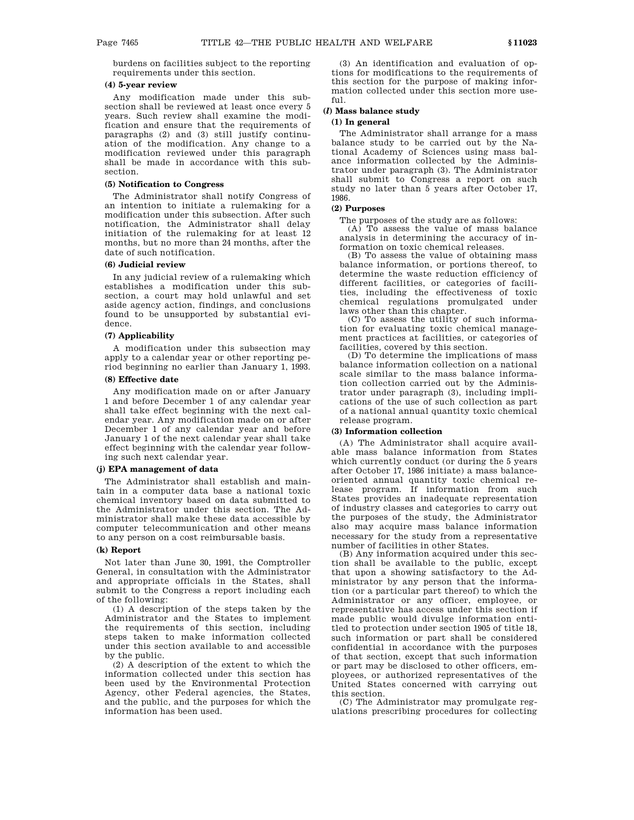burdens on facilities subject to the reporting requirements under this section.

### **(4) 5-year review**

Any modification made under this subsection shall be reviewed at least once every 5 years. Such review shall examine the modification and ensure that the requirements of paragraphs (2) and (3) still justify continuation of the modification. Any change to a modification reviewed under this paragraph shall be made in accordance with this subsection.

### **(5) Notification to Congress**

The Administrator shall notify Congress of an intention to initiate a rulemaking for a modification under this subsection. After such notification, the Administrator shall delay initiation of the rulemaking for at least 12 months, but no more than 24 months, after the date of such notification.

#### **(6) Judicial review**

In any judicial review of a rulemaking which establishes a modification under this subsection, a court may hold unlawful and set aside agency action, findings, and conclusions found to be unsupported by substantial evidence.

### **(7) Applicability**

A modification under this subsection may apply to a calendar year or other reporting period beginning no earlier than January 1, 1993.

# **(8) Effective date**

Any modification made on or after January 1 and before December 1 of any calendar year shall take effect beginning with the next calendar year. Any modification made on or after December 1 of any calendar year and before January 1 of the next calendar year shall take effect beginning with the calendar year following such next calendar year.

#### **(j) EPA management of data**

The Administrator shall establish and maintain in a computer data base a national toxic chemical inventory based on data submitted to the Administrator under this section. The Administrator shall make these data accessible by computer telecommunication and other means to any person on a cost reimbursable basis.

### **(k) Report**

Not later than June 30, 1991, the Comptroller General, in consultation with the Administrator and appropriate officials in the States, shall submit to the Congress a report including each of the following:

(1) A description of the steps taken by the Administrator and the States to implement the requirements of this section, including steps taken to make information collected under this section available to and accessible by the public.

(2) A description of the extent to which the information collected under this section has been used by the Environmental Protection Agency, other Federal agencies, the States, and the public, and the purposes for which the information has been used.

(3) An identification and evaluation of options for modifications to the requirements of this section for the purpose of making information collected under this section more useful.

#### **(***l***) Mass balance study**

### **(1) In general**

The Administrator shall arrange for a mass balance study to be carried out by the National Academy of Sciences using mass balance information collected by the Administrator under paragraph (3). The Administrator shall submit to Congress a report on such study no later than 5 years after October 17, 1986.

# **(2) Purposes**

The purposes of the study are as follows:

(A) To assess the value of mass balance analysis in determining the accuracy of information on toxic chemical releases.

(B) To assess the value of obtaining mass balance information, or portions thereof, to determine the waste reduction efficiency of different facilities, or categories of facilities, including the effectiveness of toxic chemical regulations promulgated under laws other than this chapter.

(C) To assess the utility of such information for evaluating toxic chemical management practices at facilities, or categories of facilities, covered by this section.

(D) To determine the implications of mass balance information collection on a national scale similar to the mass balance information collection carried out by the Administrator under paragraph (3), including implications of the use of such collection as part of a national annual quantity toxic chemical release program.

### **(3) Information collection**

(A) The Administrator shall acquire available mass balance information from States which currently conduct (or during the 5 years after October 17, 1986 initiate) a mass balanceoriented annual quantity toxic chemical release program. If information from such States provides an inadequate representation of industry classes and categories to carry out the purposes of the study, the Administrator also may acquire mass balance information necessary for the study from a representative number of facilities in other States.

(B) Any information acquired under this section shall be available to the public, except that upon a showing satisfactory to the Administrator by any person that the information (or a particular part thereof) to which the Administrator or any officer, employee, or representative has access under this section if made public would divulge information entitled to protection under section 1905 of title 18, such information or part shall be considered confidential in accordance with the purposes of that section, except that such information or part may be disclosed to other officers, employees, or authorized representatives of the United States concerned with carrying out this section.

(C) The Administrator may promulgate regulations prescribing procedures for collecting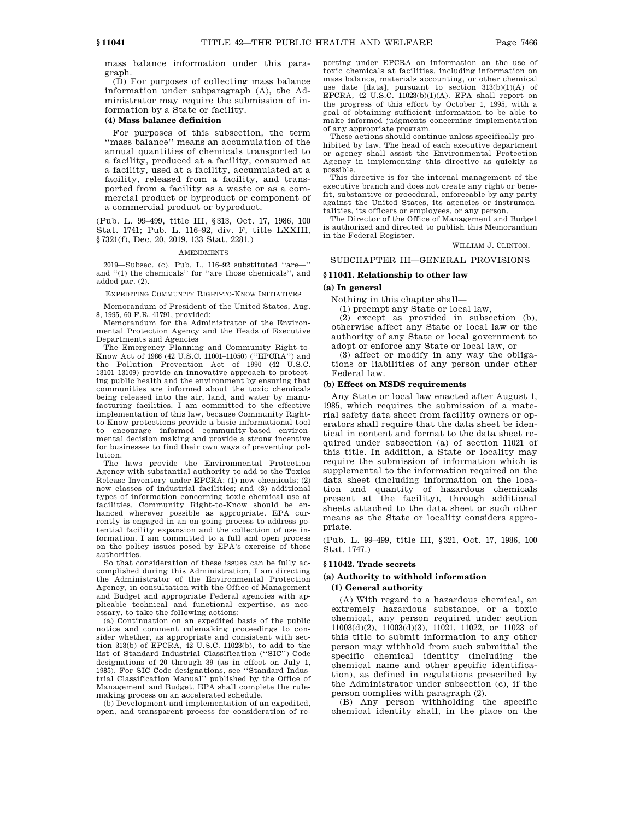mass balance information under this paragraph.

(D) For purposes of collecting mass balance information under subparagraph (A), the Administrator may require the submission of information by a State or facility.

### **(4) Mass balance definition**

For purposes of this subsection, the term ''mass balance'' means an accumulation of the annual quantities of chemicals transported to a facility, produced at a facility, consumed at a facility, used at a facility, accumulated at a facility, released from a facility, and transported from a facility as a waste or as a commercial product or byproduct or component of a commercial product or byproduct.

(Pub. L. 99–499, title III, §313, Oct. 17, 1986, 100 Stat. 1741; Pub. L. 116–92, div. F, title LXXIII, §7321(f), Dec. 20, 2019, 133 Stat. 2281.)

#### AMENDMENTS

2019—Subsec. (c). Pub. L. 116–92 substituted ''are—'' and ''(1) the chemicals'' for ''are those chemicals'', and added par. (2).

EXPEDITING COMMUNITY RIGHT-TO-KNOW INITIATIVES

Memorandum of President of the United States, Aug. 8, 1995, 60 F.R. 41791, provided:

Memorandum for the Administrator of the Environmental Protection Agency and the Heads of Executive Departments and Agencies

The Emergency Planning and Community Right-to-Know Act of 1986 (42 U.S.C. 11001–11050) (''EPCRA'') and the Pollution Prevention Act of 1990 (42 U.S.C. 13101–13109) provide an innovative approach to protecting public health and the environment by ensuring that communities are informed about the toxic chemicals being released into the air, land, and water by manufacturing facilities. I am committed to the effective implementation of this law, because Community Rightto-Know protections provide a basic informational tool to encourage informed community-based environmental decision making and provide a strong incentive for businesses to find their own ways of preventing pollution.

The laws provide the Environmental Protection Agency with substantial authority to add to the Toxics Release Inventory under EPCRA: (1) new chemicals; (2) new classes of industrial facilities; and (3) additional types of information concerning toxic chemical use at facilities. Community Right-to-Know should be enhanced wherever possible as appropriate. EPA currently is engaged in an on-going process to address potential facility expansion and the collection of use information. I am committed to a full and open process on the policy issues posed by EPA's exercise of these authorities.

So that consideration of these issues can be fully accomplished during this Administration, I am directing the Administrator of the Environmental Protection Agency, in consultation with the Office of Management and Budget and appropriate Federal agencies with applicable technical and functional expertise, as necessary, to take the following actions:

(a) Continuation on an expedited basis of the public notice and comment rulemaking proceedings to consider whether, as appropriate and consistent with section 313(b) of EPCRA, 42 U.S.C. 11023(b), to add to the list of Standard Industrial Classification (''SIC'') Code designations of 20 through 39 (as in effect on July 1, 1985). For SIC Code designations, see ''Standard Industrial Classification Manual'' published by the Office of Management and Budget. EPA shall complete the rulemaking process on an accelerated schedule.

(b) Development and implementation of an expedited, open, and transparent process for consideration of reporting under EPCRA on information on the use of toxic chemicals at facilities, including information on mass balance, materials accounting, or other chemical use date [data], pursuant to section  $313(b)(1)(A)$  of EPCRA,  $42$  U.S.C.  $11023(b)(1)(A)$ . EPA shall report on the progress of this effort by October 1, 1995, with a goal of obtaining sufficient information to be able to make informed judgments concerning implementation of any appropriate program.

These actions should continue unless specifically prohibited by law. The head of each executive department or agency shall assist the Environmental Protection Agency in implementing this directive as quickly as possible.

This directive is for the internal management of the executive branch and does not create any right or benefit, substantive or procedural, enforceable by any party against the United States, its agencies or instrumentalities, its officers or employees, or any person.

The Director of the Office of Management and Budget is authorized and directed to publish this Memorandum in the Federal Register.

WILLIAM J. CLINTON.

### SUBCHAPTER III—GENERAL PROVISIONS

#### **§ 11041. Relationship to other law**

#### **(a) In general**

Nothing in this chapter shall—

(1) preempt any State or local law,

(2) except as provided in subsection (b), otherwise affect any State or local law or the authority of any State or local government to adopt or enforce any State or local law, or

(3) affect or modify in any way the obligations or liabilities of any person under other Federal law.

#### **(b) Effect on MSDS requirements**

Any State or local law enacted after August 1, 1985, which requires the submission of a material safety data sheet from facility owners or operators shall require that the data sheet be identical in content and format to the data sheet required under subsection (a) of section 11021 of this title. In addition, a State or locality may require the submission of information which is supplemental to the information required on the data sheet (including information on the location and quantity of hazardous chemicals present at the facility), through additional sheets attached to the data sheet or such other means as the State or locality considers appropriate.

(Pub. L. 99–499, title III, §321, Oct. 17, 1986, 100 Stat. 1747.)

### **§ 11042. Trade secrets**

### **(a) Authority to withhold information**

### **(1) General authority**

(A) With regard to a hazardous chemical, an extremely hazardous substance, or a toxic chemical, any person required under section 11003(d)(2), 11003(d)(3), 11021, 11022, or 11023 of this title to submit information to any other person may withhold from such submittal the specific chemical identity (including the chemical name and other specific identification), as defined in regulations prescribed by the Administrator under subsection (c), if the person complies with paragraph (2).

(B) Any person withholding the specific chemical identity shall, in the place on the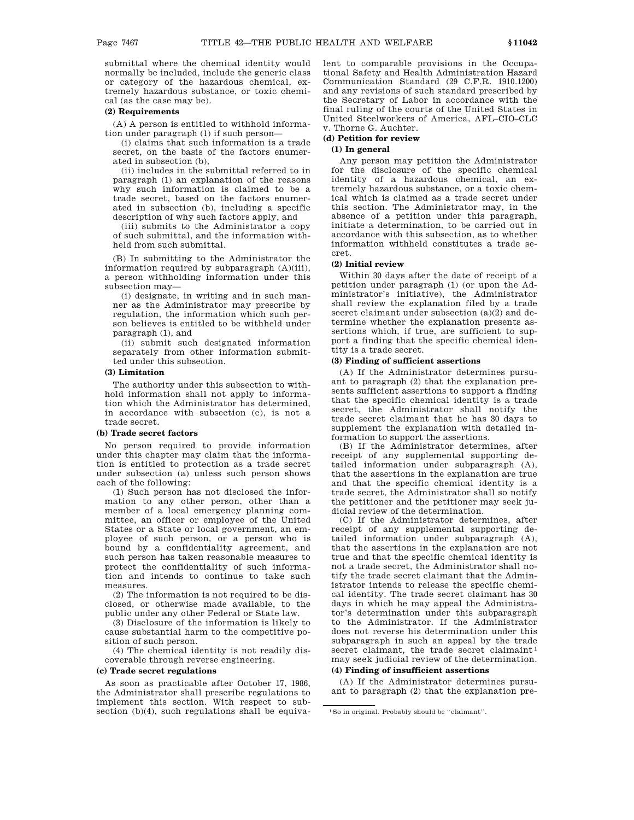submittal where the chemical identity would normally be included, include the generic class or category of the hazardous chemical, extremely hazardous substance, or toxic chemical (as the case may be).

### **(2) Requirements**

(A) A person is entitled to withhold information under paragraph (1) if such person—

(i) claims that such information is a trade secret, on the basis of the factors enumerated in subsection (b),

(ii) includes in the submittal referred to in paragraph (1) an explanation of the reasons why such information is claimed to be a trade secret, based on the factors enumerated in subsection (b), including a specific description of why such factors apply, and

(iii) submits to the Administrator a copy of such submittal, and the information withheld from such submittal.

(B) In submitting to the Administrator the information required by subparagraph  $(A)(iii)$ , a person withholding information under this subsection may—

(i) designate, in writing and in such manner as the Administrator may prescribe by regulation, the information which such person believes is entitled to be withheld under paragraph (1), and

(ii) submit such designated information separately from other information submitted under this subsection.

### **(3) Limitation**

The authority under this subsection to withhold information shall not apply to information which the Administrator has determined, in accordance with subsection (c), is not a trade secret.

#### **(b) Trade secret factors**

No person required to provide information under this chapter may claim that the information is entitled to protection as a trade secret under subsection (a) unless such person shows each of the following:

(1) Such person has not disclosed the information to any other person, other than a member of a local emergency planning committee, an officer or employee of the United States or a State or local government, an employee of such person, or a person who is bound by a confidentiality agreement, and such person has taken reasonable measures to protect the confidentiality of such information and intends to continue to take such measures.

(2) The information is not required to be disclosed, or otherwise made available, to the public under any other Federal or State law.

(3) Disclosure of the information is likely to cause substantial harm to the competitive position of such person.

(4) The chemical identity is not readily discoverable through reverse engineering.

### **(c) Trade secret regulations**

As soon as practicable after October 17, 1986, the Administrator shall prescribe regulations to implement this section. With respect to subsection (b)(4), such regulations shall be equivalent to comparable provisions in the Occupational Safety and Health Administration Hazard Communication Standard (29 C.F.R. 1910.1200) and any revisions of such standard prescribed by the Secretary of Labor in accordance with the final ruling of the courts of the United States in United Steelworkers of America, AFL–CIO–CLC v. Thorne G. Auchter.

### **(d) Petition for review**

### **(1) In general**

Any person may petition the Administrator for the disclosure of the specific chemical identity of a hazardous chemical, an extremely hazardous substance, or a toxic chemical which is claimed as a trade secret under this section. The Administrator may, in the absence of a petition under this paragraph, initiate a determination, to be carried out in accordance with this subsection, as to whether information withheld constitutes a trade secret.

#### **(2) Initial review**

Within 30 days after the date of receipt of a petition under paragraph (1) (or upon the Administrator's initiative), the Administrator shall review the explanation filed by a trade secret claimant under subsection (a)(2) and determine whether the explanation presents assertions which, if true, are sufficient to support a finding that the specific chemical identity is a trade secret.

#### **(3) Finding of sufficient assertions**

(A) If the Administrator determines pursuant to paragraph (2) that the explanation presents sufficient assertions to support a finding that the specific chemical identity is a trade secret, the Administrator shall notify the trade secret claimant that he has 30 days to supplement the explanation with detailed information to support the assertions.

(B) If the Administrator determines, after receipt of any supplemental supporting detailed information under subparagraph (A), that the assertions in the explanation are true and that the specific chemical identity is a trade secret, the Administrator shall so notify the petitioner and the petitioner may seek judicial review of the determination.

(C) If the Administrator determines, after receipt of any supplemental supporting detailed information under subparagraph (A), that the assertions in the explanation are not true and that the specific chemical identity is not a trade secret, the Administrator shall notify the trade secret claimant that the Administrator intends to release the specific chemical identity. The trade secret claimant has 30 days in which he may appeal the Administrator's determination under this subparagraph to the Administrator. If the Administrator does not reverse his determination under this subparagraph in such an appeal by the trade secret claimant, the trade secret claimaint<sup>1</sup> may seek judicial review of the determination.

# **(4) Finding of insufficient assertions**

(A) If the Administrator determines pursuant to paragraph (2) that the explanation pre-

<sup>1</sup>So in original. Probably should be ''claimant''.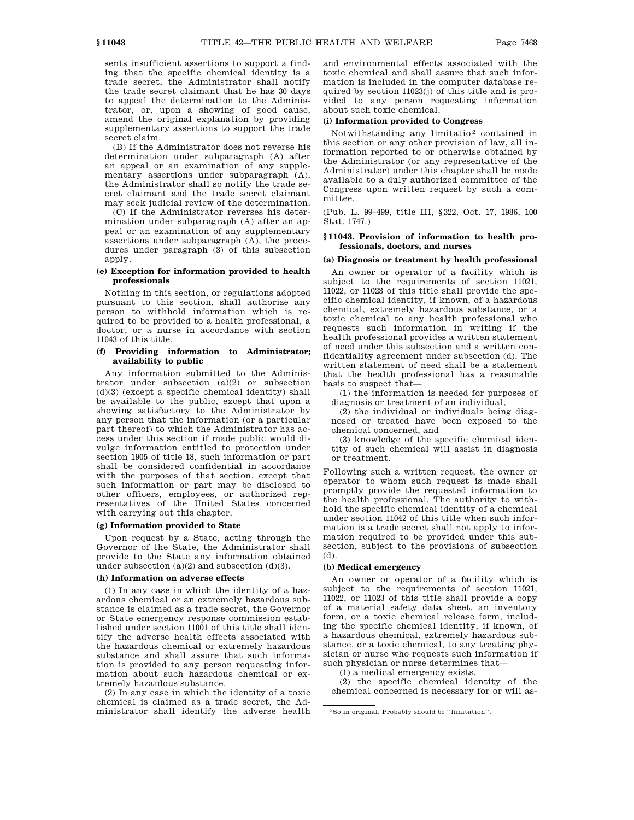sents insufficient assertions to support a finding that the specific chemical identity is a trade secret, the Administrator shall notify the trade secret claimant that he has 30 days to appeal the determination to the Administrator, or, upon a showing of good cause, amend the original explanation by providing supplementary assertions to support the trade secret claim.

(B) If the Administrator does not reverse his determination under subparagraph (A) after an appeal or an examination of any supplementary assertions under subparagraph (A), the Administrator shall so notify the trade secret claimant and the trade secret claimant may seek judicial review of the determination.

(C) If the Administrator reverses his determination under subparagraph (A) after an appeal or an examination of any supplementary assertions under subparagraph (A), the procedures under paragraph (3) of this subsection apply.

### **(e) Exception for information provided to health professionals**

Nothing in this section, or regulations adopted pursuant to this section, shall authorize any person to withhold information which is required to be provided to a health professional, a doctor, or a nurse in accordance with section 11043 of this title.

### **(f) Providing information to Administrator; availability to public**

Any information submitted to the Administrator under subsection (a)(2) or subsection (d)(3) (except a specific chemical identity) shall be available to the public, except that upon a showing satisfactory to the Administrator by any person that the information (or a particular part thereof) to which the Administrator has access under this section if made public would divulge information entitled to protection under section 1905 of title 18, such information or part shall be considered confidential in accordance with the purposes of that section, except that such information or part may be disclosed to other officers, employees, or authorized representatives of the United States concerned with carrying out this chapter.

# **(g) Information provided to State**

Upon request by a State, acting through the Governor of the State, the Administrator shall provide to the State any information obtained under subsection  $(a)(2)$  and subsection  $(d)(3)$ .

### **(h) Information on adverse effects**

(1) In any case in which the identity of a hazardous chemical or an extremely hazardous substance is claimed as a trade secret, the Governor or State emergency response commission established under section 11001 of this title shall identify the adverse health effects associated with the hazardous chemical or extremely hazardous substance and shall assure that such information is provided to any person requesting information about such hazardous chemical or extremely hazardous substance.

(2) In any case in which the identity of a toxic chemical is claimed as a trade secret, the Administrator shall identify the adverse health and environmental effects associated with the toxic chemical and shall assure that such information is included in the computer database required by section 11023(j) of this title and is provided to any person requesting information about such toxic chemical.

### **(i) Information provided to Congress**

Notwithstanding any limitatio 2 contained in this section or any other provision of law, all information reported to or otherwise obtained by the Administrator (or any representative of the Administrator) under this chapter shall be made available to a duly authorized committee of the Congress upon written request by such a committee.

(Pub. L. 99–499, title III, §322, Oct. 17, 1986, 100 Stat. 1747.)

### **§ 11043. Provision of information to health professionals, doctors, and nurses**

### **(a) Diagnosis or treatment by health professional**

An owner or operator of a facility which is subject to the requirements of section 11021, 11022, or 11023 of this title shall provide the specific chemical identity, if known, of a hazardous chemical, extremely hazardous substance, or a toxic chemical to any health professional who requests such information in writing if the health professional provides a written statement of need under this subsection and a written confidentiality agreement under subsection (d). The written statement of need shall be a statement that the health professional has a reasonable basis to suspect that—

(1) the information is needed for purposes of diagnosis or treatment of an individual,

(2) the individual or individuals being diagnosed or treated have been exposed to the chemical concerned, and

(3) knowledge of the specific chemical identity of such chemical will assist in diagnosis or treatment.

Following such a written request, the owner or operator to whom such request is made shall promptly provide the requested information to the health professional. The authority to withhold the specific chemical identity of a chemical under section 11042 of this title when such information is a trade secret shall not apply to information required to be provided under this subsection, subject to the provisions of subsection (d).

#### **(b) Medical emergency**

An owner or operator of a facility which is subject to the requirements of section 11021, 11022, or 11023 of this title shall provide a copy of a material safety data sheet, an inventory form, or a toxic chemical release form, including the specific chemical identity, if known, of a hazardous chemical, extremely hazardous substance, or a toxic chemical, to any treating physician or nurse who requests such information if such physician or nurse determines that—

(1) a medical emergency exists,

(2) the specific chemical identity of the chemical concerned is necessary for or will as-

<sup>2</sup>So in original. Probably should be ''limitation''.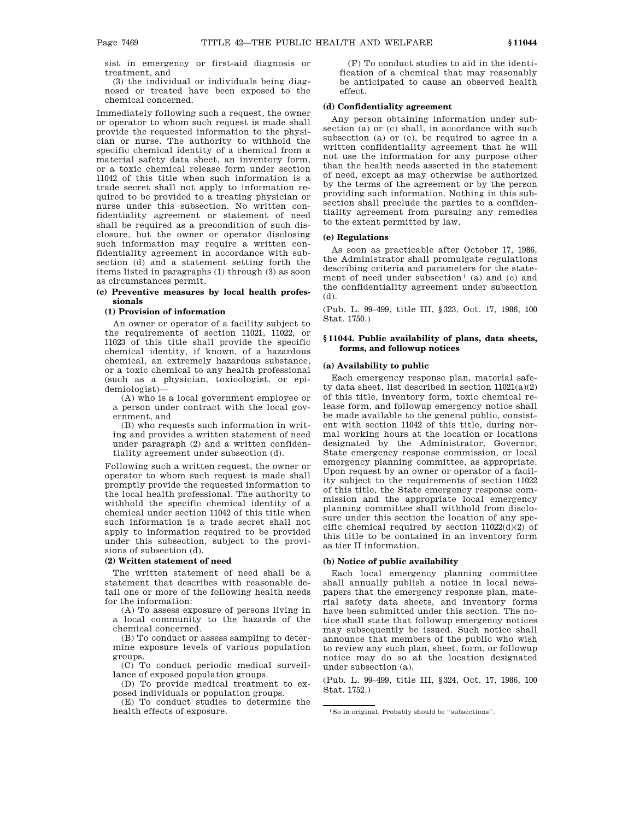sist in emergency or first-aid diagnosis or treatment, and

(3) the individual or individuals being diagnosed or treated have been exposed to the chemical concerned.

Immediately following such a request, the owner or operator to whom such request is made shall provide the requested information to the physician or nurse. The authority to withhold the specific chemical identity of a chemical from a material safety data sheet, an inventory form, or a toxic chemical release form under section 11042 of this title when such information is a trade secret shall not apply to information required to be provided to a treating physician or nurse under this subsection. No written confidentiality agreement or statement of need shall be required as a precondition of such disclosure, but the owner or operator disclosing such information may require a written confidentiality agreement in accordance with subsection (d) and a statement setting forth the items listed in paragraphs (1) through (3) as soon as circumstances permit.

### **(c) Preventive measures by local health professionals**

### **(1) Provision of information**

An owner or operator of a facility subject to the requirements of section 11021, 11022, or 11023 of this title shall provide the specific chemical identity, if known, of a hazardous chemical, an extremely hazardous substance, or a toxic chemical to any health professional (such as a physician, toxicologist, or epidemiologist)—

(A) who is a local government employee or a person under contract with the local government, and

(B) who requests such information in writing and provides a written statement of need under paragraph (2) and a written confidentiality agreement under subsection (d).

Following such a written request, the owner or operator to whom such request is made shall promptly provide the requested information to the local health professional. The authority to withhold the specific chemical identity of a chemical under section 11042 of this title when such information is a trade secret shall not apply to information required to be provided under this subsection, subject to the provisions of subsection (d).

#### **(2) Written statement of need**

The written statement of need shall be a statement that describes with reasonable detail one or more of the following health needs for the information:

(A) To assess exposure of persons living in a local community to the hazards of the chemical concerned.

(B) To conduct or assess sampling to determine exposure levels of various population groups.

(C) To conduct periodic medical surveillance of exposed population groups.

(D) To provide medical treatment to exposed individuals or population groups.

(E) To conduct studies to determine the health effects of exposure.

(F) To conduct studies to aid in the identification of a chemical that may reasonably be anticipated to cause an observed health effect.

### **(d) Confidentiality agreement**

Any person obtaining information under subsection (a) or (c) shall, in accordance with such subsection (a) or (c), be required to agree in a written confidentiality agreement that he will not use the information for any purpose other than the health needs asserted in the statement of need, except as may otherwise be authorized by the terms of the agreement or by the person providing such information. Nothing in this subsection shall preclude the parties to a confidentiality agreement from pursuing any remedies to the extent permitted by law.

### **(e) Regulations**

As soon as practicable after October 17, 1986, the Administrator shall promulgate regulations describing criteria and parameters for the statement of need under subsection<sup>1</sup> (a) and (c) and the confidentiality agreement under subsection (d).

(Pub. L. 99–499, title III, §323, Oct. 17, 1986, 100 Stat. 1750.)

### **§ 11044. Public availability of plans, data sheets, forms, and followup notices**

### **(a) Availability to public**

Each emergency response plan, material safety data sheet, list described in section 11021(a)(2) of this title, inventory form, toxic chemical release form, and followup emergency notice shall be made available to the general public, consistent with section 11042 of this title, during normal working hours at the location or locations designated by the Administrator, Governor, State emergency response commission, or local emergency planning committee, as appropriate. Upon request by an owner or operator of a facility subject to the requirements of section 11022 of this title, the State emergency response commission and the appropriate local emergency planning committee shall withhold from disclosure under this section the location of any specific chemical required by section 11022(d)(2) of this title to be contained in an inventory form as tier II information.

### **(b) Notice of public availability**

Each local emergency planning committee shall annually publish a notice in local newspapers that the emergency response plan, material safety data sheets, and inventory forms have been submitted under this section. The notice shall state that followup emergency notices may subsequently be issued. Such notice shall announce that members of the public who wish to review any such plan, sheet, form, or followup notice may do so at the location designated under subsection (a).

(Pub. L. 99–499, title III, §324, Oct. 17, 1986, 100 Stat. 1752.)

<sup>1</sup>So in original. Probably should be ''subsections''.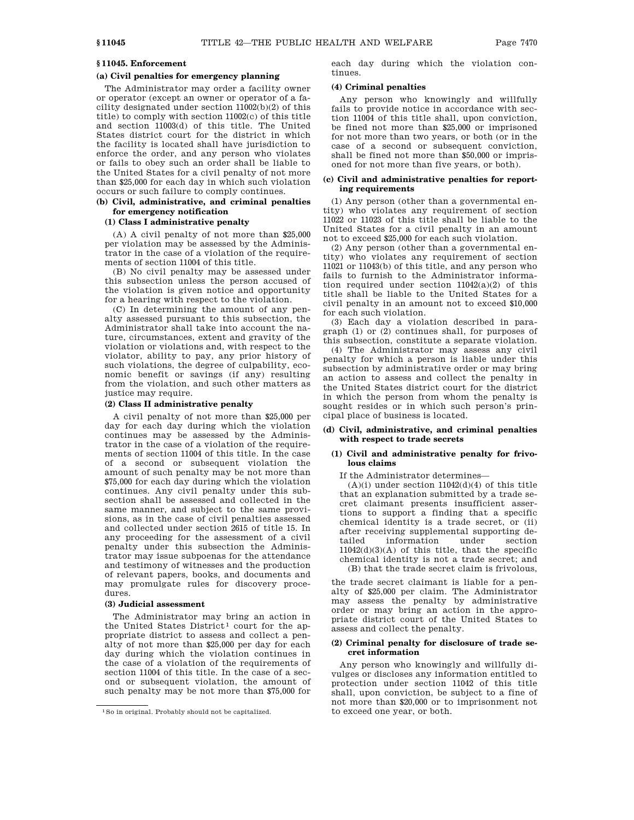# **§ 11045. Enforcement**

### **(a) Civil penalties for emergency planning**

The Administrator may order a facility owner or operator (except an owner or operator of a facility designated under section 11002(b)(2) of this title) to comply with section 11002(c) of this title and section 11003(d) of this title. The United States district court for the district in which the facility is located shall have jurisdiction to enforce the order, and any person who violates or fails to obey such an order shall be liable to the United States for a civil penalty of not more than \$25,000 for each day in which such violation occurs or such failure to comply continues.

# **(b) Civil, administrative, and criminal penalties for emergency notification**

### **(1) Class I administrative penalty**

(A) A civil penalty of not more than \$25,000 per violation may be assessed by the Administrator in the case of a violation of the requirements of section 11004 of this title.

(B) No civil penalty may be assessed under this subsection unless the person accused of the violation is given notice and opportunity for a hearing with respect to the violation.

(C) In determining the amount of any penalty assessed pursuant to this subsection, the Administrator shall take into account the nature, circumstances, extent and gravity of the violation or violations and, with respect to the violator, ability to pay, any prior history of such violations, the degree of culpability, economic benefit or savings (if any) resulting from the violation, and such other matters as justice may require.

# **(2) Class II administrative penalty**

A civil penalty of not more than \$25,000 per day for each day during which the violation continues may be assessed by the Administrator in the case of a violation of the requirements of section 11004 of this title. In the case of a second or subsequent violation the amount of such penalty may be not more than \$75,000 for each day during which the violation continues. Any civil penalty under this subsection shall be assessed and collected in the same manner, and subject to the same provisions, as in the case of civil penalties assessed and collected under section 2615 of title 15. In any proceeding for the assessment of a civil penalty under this subsection the Administrator may issue subpoenas for the attendance and testimony of witnesses and the production of relevant papers, books, and documents and may promulgate rules for discovery procedures.

### **(3) Judicial assessment**

The Administrator may bring an action in the United States District<sup>1</sup> court for the appropriate district to assess and collect a penalty of not more than \$25,000 per day for each day during which the violation continues in the case of a violation of the requirements of section 11004 of this title. In the case of a second or subsequent violation, the amount of such penalty may be not more than \$75,000 for each day during which the violation continues.

#### **(4) Criminal penalties**

Any person who knowingly and willfully fails to provide notice in accordance with section 11004 of this title shall, upon conviction, be fined not more than \$25,000 or imprisoned for not more than two years, or both (or in the case of a second or subsequent conviction, shall be fined not more than \$50,000 or imprisoned for not more than five years, or both).

### **(c) Civil and administrative penalties for reporting requirements**

(1) Any person (other than a governmental entity) who violates any requirement of section 11022 or 11023 of this title shall be liable to the United States for a civil penalty in an amount not to exceed \$25,000 for each such violation.

(2) Any person (other than a governmental entity) who violates any requirement of section 11021 or 11043(b) of this title, and any person who fails to furnish to the Administrator information required under section 11042(a)(2) of this title shall be liable to the United States for a civil penalty in an amount not to exceed \$10,000 for each such violation.

(3) Each day a violation described in paragraph (1) or (2) continues shall, for purposes of this subsection, constitute a separate violation.

(4) The Administrator may assess any civil penalty for which a person is liable under this subsection by administrative order or may bring an action to assess and collect the penalty in the United States district court for the district in which the person from whom the penalty is sought resides or in which such person's principal place of business is located.

### **(d) Civil, administrative, and criminal penalties with respect to trade secrets**

### **(1) Civil and administrative penalty for frivolous claims**

If the Administrator determines—

 $(A)(i)$  under section  $11042(d)(4)$  of this title that an explanation submitted by a trade secret claimant presents insufficient assertions to support a finding that a specific chemical identity is a trade secret, or (ii) after receiving supplemental supporting detailed information under section  $11042(d)(3)(A)$  of this title, that the specific chemical identity is not a trade secret; and (B) that the trade secret claim is frivolous,

the trade secret claimant is liable for a penalty of \$25,000 per claim. The Administrator may assess the penalty by administrative order or may bring an action in the appropriate district court of the United States to assess and collect the penalty.

### **(2) Criminal penalty for disclosure of trade secret information**

Any person who knowingly and willfully divulges or discloses any information entitled to protection under section 11042 of this title shall, upon conviction, be subject to a fine of not more than \$20,000 or to imprisonment not to exceed one year, or both.

<sup>1</sup>So in original. Probably should not be capitalized.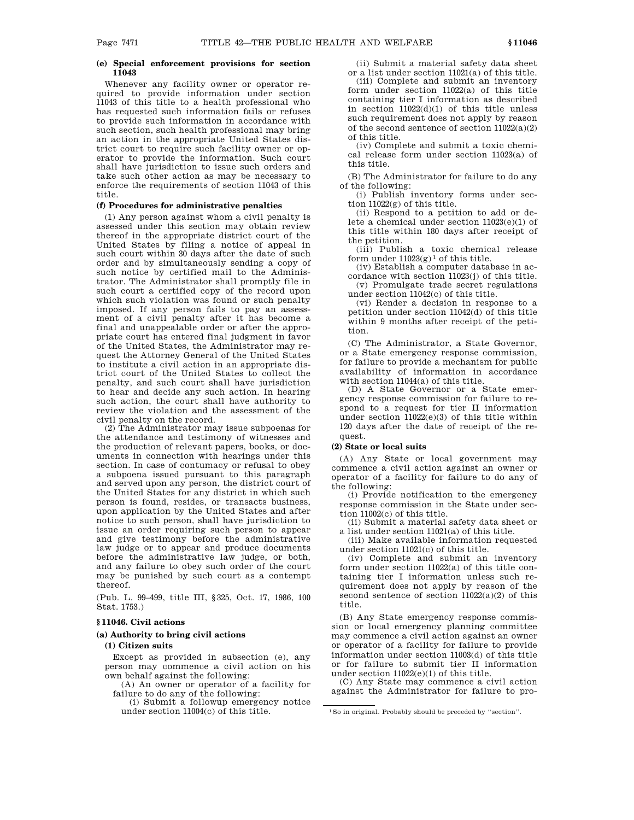### **(e) Special enforcement provisions for section 11043**

Whenever any facility owner or operator required to provide information under section 11043 of this title to a health professional who has requested such information fails or refuses to provide such information in accordance with such section, such health professional may bring an action in the appropriate United States district court to require such facility owner or operator to provide the information. Such court shall have jurisdiction to issue such orders and take such other action as may be necessary to enforce the requirements of section 11043 of this title.

### **(f) Procedures for administrative penalties**

(1) Any person against whom a civil penalty is assessed under this section may obtain review thereof in the appropriate district court of the United States by filing a notice of appeal in such court within 30 days after the date of such order and by simultaneously sending a copy of such notice by certified mail to the Administrator. The Administrator shall promptly file in such court a certified copy of the record upon which such violation was found or such penalty imposed. If any person fails to pay an assessment of a civil penalty after it has become a final and unappealable order or after the appropriate court has entered final judgment in favor of the United States, the Administrator may request the Attorney General of the United States to institute a civil action in an appropriate district court of the United States to collect the penalty, and such court shall have jurisdiction to hear and decide any such action. In hearing such action, the court shall have authority to review the violation and the assessment of the civil penalty on the record.

(2) The Administrator may issue subpoenas for the attendance and testimony of witnesses and the production of relevant papers, books, or documents in connection with hearings under this section. In case of contumacy or refusal to obey a subpoena issued pursuant to this paragraph and served upon any person, the district court of the United States for any district in which such person is found, resides, or transacts business, upon application by the United States and after notice to such person, shall have jurisdiction to issue an order requiring such person to appear and give testimony before the administrative law judge or to appear and produce documents before the administrative law judge, or both, and any failure to obey such order of the court may be punished by such court as a contempt thereof.

(Pub. L. 99–499, title III, §325, Oct. 17, 1986, 100 Stat. 1753.)

### **§ 11046. Civil actions**

# **(a) Authority to bring civil actions**

#### **(1) Citizen suits**

Except as provided in subsection (e), any person may commence a civil action on his own behalf against the following:

(A) An owner or operator of a facility for failure to do any of the following:

(i) Submit a followup emergency notice under section 11004(c) of this title.

(ii) Submit a material safety data sheet or a list under section 11021(a) of this title.

(iii) Complete and submit an inventory form under section 11022(a) of this title containing tier I information as described in section 11022(d)(1) of this title unless such requirement does not apply by reason of the second sentence of section 11022(a)(2) of this title.

(iv) Complete and submit a toxic chemical release form under section 11023(a) of this title.

(B) The Administrator for failure to do any of the following:

(i) Publish inventory forms under section 11022(g) of this title.

(ii) Respond to a petition to add or delete a chemical under section 11023(e)(1) of this title within 180 days after receipt of the petition.

(iii) Publish a toxic chemical release form under  $11023(g)^1$  of this title.

(iv) Establish a computer database in accordance with section 11023(j) of this title.

(v) Promulgate trade secret regulations under section 11042(c) of this title.

(vi) Render a decision in response to a petition under section 11042(d) of this title within 9 months after receipt of the petition.

(C) The Administrator, a State Governor, or a State emergency response commission, for failure to provide a mechanism for public availability of information in accordance with section 11044(a) of this title.

(D) A State Governor or a State emergency response commission for failure to respond to a request for tier II information under section 11022(e)(3) of this title within 120 days after the date of receipt of the request.

#### **(2) State or local suits**

(A) Any State or local government may commence a civil action against an owner or operator of a facility for failure to do any of the following:

(i) Provide notification to the emergency response commission in the State under section 11002(c) of this title.

(ii) Submit a material safety data sheet or a list under section 11021(a) of this title.

(iii) Make available information requested under section 11021(c) of this title.

(iv) Complete and submit an inventory form under section 11022(a) of this title containing tier I information unless such requirement does not apply by reason of the second sentence of section 11022(a)(2) of this title.

(B) Any State emergency response commission or local emergency planning committee may commence a civil action against an owner or operator of a facility for failure to provide information under section 11003(d) of this title or for failure to submit tier II information under section 11022(e)(1) of this title.

(C) Any State may commence a civil action against the Administrator for failure to pro-

<sup>1</sup>So in original. Probably should be preceded by ''section''.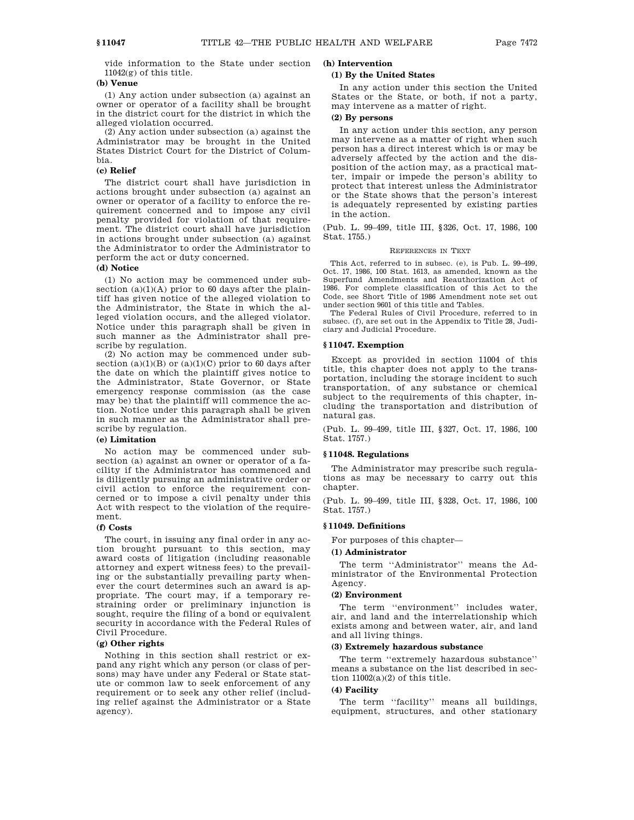vide information to the State under section 11042(g) of this title.

### **(b) Venue**

(1) Any action under subsection (a) against an owner or operator of a facility shall be brought in the district court for the district in which the alleged violation occurred.

(2) Any action under subsection (a) against the Administrator may be brought in the United States District Court for the District of Columbia.

#### **(c) Relief**

The district court shall have jurisdiction in actions brought under subsection (a) against an owner or operator of a facility to enforce the requirement concerned and to impose any civil penalty provided for violation of that requirement. The district court shall have jurisdiction in actions brought under subsection (a) against the Administrator to order the Administrator to perform the act or duty concerned.

### **(d) Notice**

(1) No action may be commenced under subsection  $(a)(1)(A)$  prior to 60 days after the plaintiff has given notice of the alleged violation to the Administrator, the State in which the alleged violation occurs, and the alleged violator. Notice under this paragraph shall be given in such manner as the Administrator shall prescribe by regulation.

(2) No action may be commenced under subsection  $(a)(1)(B)$  or  $(a)(1)(C)$  prior to 60 days after the date on which the plaintiff gives notice to the Administrator, State Governor, or State emergency response commission (as the case may be) that the plaintiff will commence the action. Notice under this paragraph shall be given in such manner as the Administrator shall prescribe by regulation.

# **(e) Limitation**

No action may be commenced under subsection (a) against an owner or operator of a facility if the Administrator has commenced and is diligently pursuing an administrative order or civil action to enforce the requirement concerned or to impose a civil penalty under this Act with respect to the violation of the requirement.

#### **(f) Costs**

The court, in issuing any final order in any action brought pursuant to this section, may award costs of litigation (including reasonable attorney and expert witness fees) to the prevailing or the substantially prevailing party whenever the court determines such an award is appropriate. The court may, if a temporary restraining order or preliminary injunction is sought, require the filing of a bond or equivalent security in accordance with the Federal Rules of Civil Procedure.

### **(g) Other rights**

Nothing in this section shall restrict or expand any right which any person (or class of persons) may have under any Federal or State statute or common law to seek enforcement of any requirement or to seek any other relief (including relief against the Administrator or a State agency).

### **(h) Intervention (1) By the United States**

In any action under this section the United States or the State, or both, if not a party, may intervene as a matter of right.

# **(2) By persons**

In any action under this section, any person may intervene as a matter of right when such person has a direct interest which is or may be adversely affected by the action and the disposition of the action may, as a practical matter, impair or impede the person's ability to protect that interest unless the Administrator or the State shows that the person's interest is adequately represented by existing parties in the action.

(Pub. L. 99–499, title III, §326, Oct. 17, 1986, 100 Stat. 1755.)

#### REFERENCES IN TEXT

This Act, referred to in subsec. (e), is Pub. L. 99–499, Oct. 17, 1986, 100 Stat. 1613, as amended, known as the Superfund Amendments and Reauthorization Act of 1986. For complete classification of this Act to the Code, see Short Title of 1986 Amendment note set out under section 9601 of this title and Tables.

The Federal Rules of Civil Procedure, referred to in subsec. (f), are set out in the Appendix to Title 28, Judiciary and Judicial Procedure.

#### **§ 11047. Exemption**

Except as provided in section 11004 of this title, this chapter does not apply to the transportation, including the storage incident to such transportation, of any substance or chemical subject to the requirements of this chapter, including the transportation and distribution of natural gas.

(Pub. L. 99–499, title III, §327, Oct. 17, 1986, 100 Stat. 1757.)

### **§ 11048. Regulations**

The Administrator may prescribe such regulations as may be necessary to carry out this chapter.

(Pub. L. 99–499, title III, §328, Oct. 17, 1986, 100 Stat. 1757.)

#### **§ 11049. Definitions**

For purposes of this chapter—

# **(1) Administrator**

The term ''Administrator'' means the Administrator of the Environmental Protection Agency.

#### **(2) Environment**

The term "environment" includes water, air, and land and the interrelationship which exists among and between water, air, and land and all living things.

### **(3) Extremely hazardous substance**

The term ''extremely hazardous substance'' means a substance on the list described in section  $11002(a)(2)$  of this title.

# **(4) Facility**

The term "facility" means all buildings, equipment, structures, and other stationary